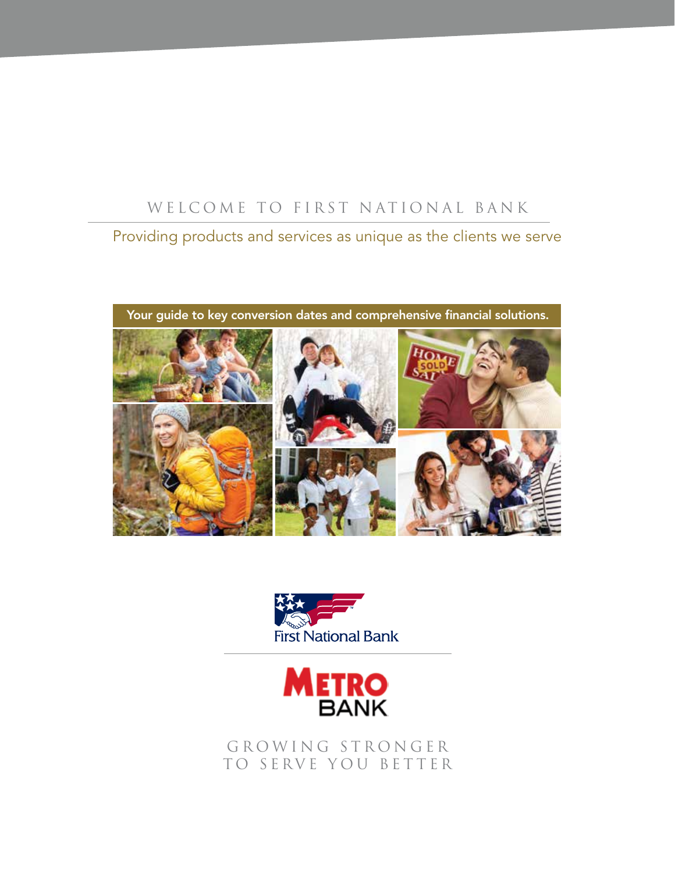## WELCOME TO FIRST NATIONAL BANK

## Providing products and services as unique as the clients we serve

Your guide to key conversion dates and comprehensive financial solutions.





GROWING STRONGER TO SERVE YOU BETTER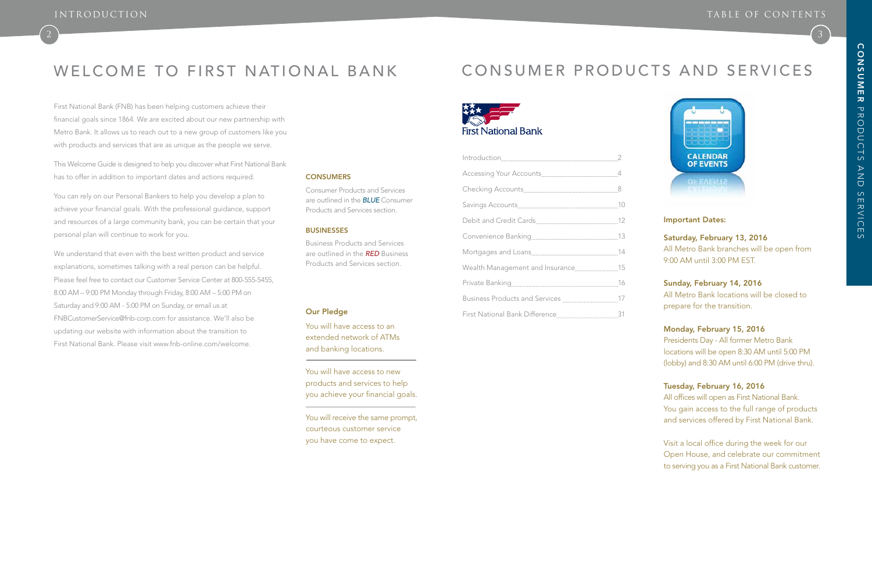# WELCOME TO FIRST NATIONAL BANK



First National Bank (FNB) has been helping customers achieve their financial goals since 1864. We are excited about our new partnership with Metro Bank. It allows us to reach out to a new group of customers like you with products and services that are as unique as the people we serve.

This Welcome Guide is designed to help you discover what First National Bank has to offer in addition to important dates and actions required.

You can rely on our Personal Bankers to help you develop a plan to achieve your financial goals. With the professional guidance, support and resources of a large community bank, you can be certain that your personal plan will continue to work for you.

We understand that even with the best written product and service explanations, sometimes talking with a real person can be helpful. Please feel free to contact our Customer Service Center at 800-555-5455, 8:00 AM – 9:00 PM Monday through Friday, 8:00 AM – 5:00 PM on Saturday and 9:00 AM - 5:00 PM on Sunday, or email us at FNBCustomerService@fnb-corp.com for assistance. We'll also be updating our website with information about the transition to First National Bank. Please visit www.fnb-online.com/welcome.

#### **CONSUMERS**

| Wealth Management and Insurance15 |  |
|-----------------------------------|--|
|                                   |  |
|                                   |  |
|                                   |  |

### Important Dates:

### Saturday, February 13, 2016 All Metro Bank branches will be open from 9:00 AM until 3:00 PM EST.

### Sunday, February 14, 2016 All Metro Bank locations will be closed to prepare for the transition.

### Monday, February 15, 2016

Presidents Day - All former Metro Bank locations will be open 8:30 AM until 5:00 PM (lobby) and 8:30 AM until 6:00 PM (drive thru).

### Tuesday, February 16, 2016

All offices will open as First National Bank. You gain access to the full range of products and services offered by First National Bank.

Visit a local office during the week for our Open House, and celebrate our commitment to serving you as a First National Bank customer.

Consumer Products and Services are outlined in the *BLUE* Consumer Products and Services section.

#### **BUSINESSES**

Business Products and Services are outlined in the *RED* Business Products and Services section.

#### Our Pledge

You will have access to an extended network of ATMs and banking locations.

You will have access to new products and services to help you achieve your financial goals.

You will receive the same prompt, courteous customer service you have come to expect.

# CONSUMER PRODUCTS AND SERVICES



 $\begin{pmatrix} 3 \end{pmatrix}$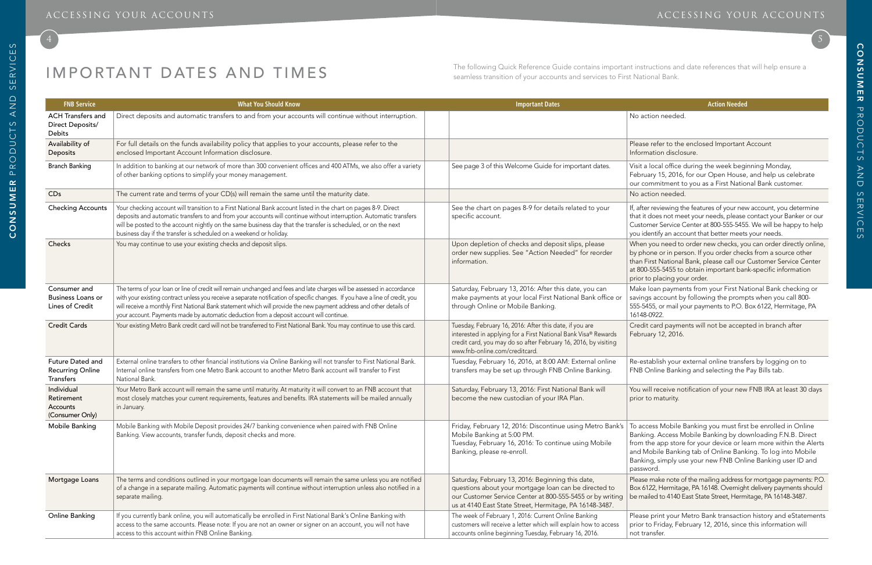se refer to the enclosed Important Account mation disclosure.

a local office during the week beginning Monday, ruary 15, 2016, for our Open House, and help us celebrate commitment to you as a First National Bank customer.

iter reviewing the features of your new account, you determine it does not meet your needs, please contact your Banker or our tomer Service Center at 800-555-5455. We will be happy to help identify an account that better meets your needs.

en you need to order new checks, you can order directly online, hone or in person. If you order checks from a source other First National Bank, please call our Customer Service Center 00-555-5455 to obtain important bank-specific information to placing your order.

# IMPORTANT DATES AND TIMES

e loan payments from your First National Bank checking or ngs account by following the prompts when you call 800-5455, or mail your payments to P.O. Box 6122, Hermitage, PA 16148-0922.

lit card payments will not be accepted in branch after ruary 12, 2016.

establish your external online transfers by logging on to Online Banking and selecting the Pay Bills tab.

will receive notification of your new FNB IRA at least 30 days to maturity.

Iccess Mobile Banking you must first be enrolled in Online king. Access Mobile Banking by downloading F.N.B. Direct the app store for your device or learn more within the Alerts Mobile Banking tab of Online Banking. To log into Mobile king, simply use your new FNB Online Banking user ID and sword.

se make note of the mailing address for mortgage payments: P.O. 6122, Hermitage, PA 16148. Overnight delivery payments should hailed to 4140 East State Street, Hermitage, PA 16148-3487.

se print your Metro Bank transaction history and eStatements to Friday, February 12, 2016, since this information will transfer.

| <b>FNB Service</b>                                              | <b>What You Should Know</b>                                                                                                                                                                                                                                                                                                                                                                                                                                                  | <b>Important Dates</b>                                                                                                                                                                                                             | <b>Action Needed</b>                                                                                                                                                                                                      |
|-----------------------------------------------------------------|------------------------------------------------------------------------------------------------------------------------------------------------------------------------------------------------------------------------------------------------------------------------------------------------------------------------------------------------------------------------------------------------------------------------------------------------------------------------------|------------------------------------------------------------------------------------------------------------------------------------------------------------------------------------------------------------------------------------|---------------------------------------------------------------------------------------------------------------------------------------------------------------------------------------------------------------------------|
| <b>ACH Transfers and</b><br>Direct Deposits/<br>Debits          | Direct deposits and automatic transfers to and from your accounts will continue without interruption.                                                                                                                                                                                                                                                                                                                                                                        |                                                                                                                                                                                                                                    | No action needed.                                                                                                                                                                                                         |
| Availability of<br>Deposits                                     | For full details on the funds availability policy that applies to your accounts, please refer to the<br>enclosed Important Account Information disclosure.                                                                                                                                                                                                                                                                                                                   |                                                                                                                                                                                                                                    | Please refer to the enclosed Important<br>Information disclosure.                                                                                                                                                         |
| <b>Branch Banking</b>                                           | In addition to banking at our network of more than 300 convenient offices and 400 ATMs, we also offer a variety<br>of other banking options to simplify your money management.                                                                                                                                                                                                                                                                                               | See page 3 of this Welcome Guide for important dates.                                                                                                                                                                              | Visit a local office during the week begi<br>February 15, 2016, for our Open House<br>our commitment to you as a First Natio                                                                                              |
| CDs                                                             | The current rate and terms of your CD(s) will remain the same until the maturity date.                                                                                                                                                                                                                                                                                                                                                                                       |                                                                                                                                                                                                                                    | No action needed.                                                                                                                                                                                                         |
| <b>Checking Accounts</b>                                        | Your checking account will transition to a First National Bank account listed in the chart on pages 8-9. Direct<br>deposits and automatic transfers to and from your accounts will continue without interruption. Automatic transfers<br>will be posted to the account nightly on the same business day that the transfer is scheduled, or on the next<br>business day if the transfer is scheduled on a weekend or holiday.                                                 | See the chart on pages 8-9 for details related to your<br>specific account.                                                                                                                                                        | If, after reviewing the features of your nev<br>that it does not meet your needs, please<br>Customer Service Center at 800-555-545!<br>you identify an account that better meets                                          |
| Checks                                                          | You may continue to use your existing checks and deposit slips.                                                                                                                                                                                                                                                                                                                                                                                                              | Upon depletion of checks and deposit slips, please<br>order new supplies. See "Action Needed" for reorder<br>information.                                                                                                          | When you need to order new checks, yo<br>by phone or in person. If you order chec<br>than First National Bank, please call our<br>at 800-555-5455 to obtain important bar<br>prior to placing your order.                 |
| Consumer and<br><b>Business Loans or</b><br>Lines of Credit     | The terms of your loan or line of credit will remain unchanged and fees and late charges will be assessed in accordance<br>with your existing contract unless you receive a separate notification of specific changes. If you have a line of credit, you<br>will receive a monthly First National Bank statement which will provide the new payment address and other details of<br>your account. Payments made by automatic deduction from a deposit account will continue. | Saturday, February 13, 2016: After this date, you can<br>make payments at your local First National Bank office or<br>through Online or Mobile Banking.                                                                            | Make loan payments from your First Na<br>savings account by following the promp<br>555-5455, or mail your payments to P.O. E<br>16148-0922.                                                                               |
| <b>Credit Cards</b>                                             | Your existing Metro Bank credit card will not be transferred to First National Bank. You may continue to use this card.                                                                                                                                                                                                                                                                                                                                                      | Tuesday, February 16, 2016: After this date, if you are<br>interested in applying for a First National Bank Visa® Rewards<br>credit card, you may do so after February 16, 2016, by visiting<br>www.fnb-online.com/creditcard      | Credit card payments will not be accep<br>February 12, 2016.                                                                                                                                                              |
| Future Dated and<br><b>Recurring Online</b><br><b>Transfers</b> | External online transfers to other financial institutions via Online Banking will not transfer to First National Bank.<br>Internal online transfers from one Metro Bank account to another Metro Bank account will transfer to First<br>National Bank.                                                                                                                                                                                                                       | Tuesday, February 16, 2016, at 8:00 AM: External online<br>transfers may be set up through FNB Online Banking.                                                                                                                     | Re-establish your external online transf<br>FNB Online Banking and selecting the                                                                                                                                          |
| Individual<br>Retirement<br>Accounts<br>(Consumer Only)         | Your Metro Bank account will remain the same until maturity. At maturity it will convert to an FNB account that<br>most closely matches your current requirements, features and benefits. IRA statements will be mailed annually<br>in January.                                                                                                                                                                                                                              | Saturday, February 13, 2016: First National Bank will<br>become the new custodian of your IRA Plan.                                                                                                                                | You will receive notification of your new<br>prior to maturity.                                                                                                                                                           |
| Mobile Banking                                                  | Mobile Banking with Mobile Deposit provides 24/7 banking convenience when paired with FNB Online<br>Banking. View accounts, transfer funds, deposit checks and more.                                                                                                                                                                                                                                                                                                         | Friday, February 12, 2016: Discontinue using Metro Bank's<br>Mobile Banking at 5:00 PM.<br>Tuesday, February 16, 2016: To continue using Mobile<br>Banking, please re-enroll.                                                      | To access Mobile Banking you must firs<br>Banking. Access Mobile Banking by do<br>from the app store for your device or le<br>and Mobile Banking tab of Online Bank<br>Banking, simply use your new FNB Onli<br>password. |
| Mortgage Loans                                                  | The terms and conditions outlined in your mortgage loan documents will remain the same unless you are notified<br>of a change in a separate mailing. Automatic payments will continue without interruption unless also notified in a<br>separate mailing.                                                                                                                                                                                                                    | Saturday, February 13, 2016: Beginning this date,<br>questions about your mortgage loan can be directed to<br>our Customer Service Center at 800-555-5455 or by writing<br>us at 4140 East State Street, Hermitage, PA 16148-3487. | Please make note of the mailing address f<br>Box 6122, Hermitage, PA 16148. Overnigh<br>be mailed to 4140 East State Street, Herm                                                                                         |
| Online Banking                                                  | If you currently bank online, you will automatically be enrolled in First National Bank's Online Banking with<br>access to the same accounts. Please note: If you are not an owner or signer on an account, you will not have<br>access to this account within FNB Online Banking.                                                                                                                                                                                           | The week of February 1, 2016: Current Online Banking<br>customers will receive a letter which will explain how to access<br>accounts online beginning Tuesday, February 16, 2016.                                                  | Please print your Metro Bank transactic<br>prior to Friday, February 12, 2016, since<br>not transfer.                                                                                                                     |

The following Quick Reference Guide contains important instructions and date references that will help ensure a seamless transition of your accounts and services to First National Bank.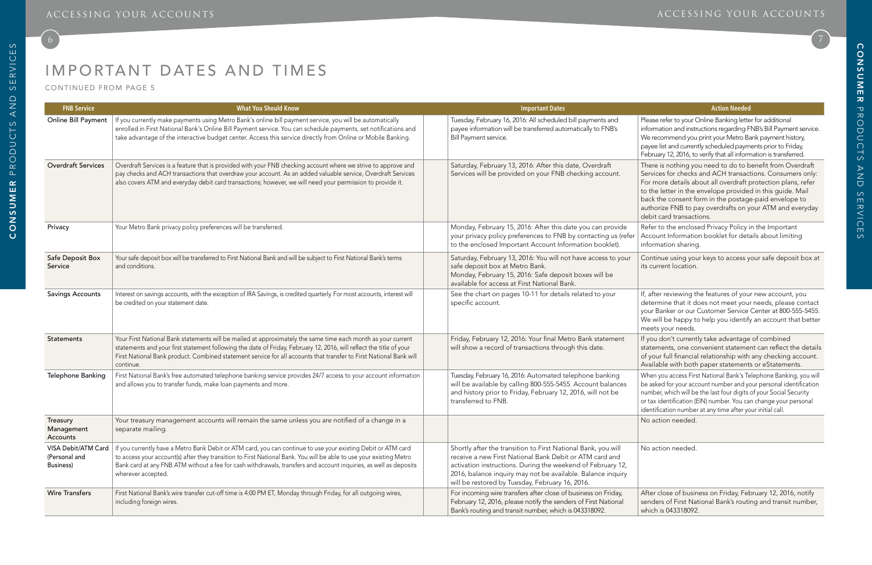# IMPORTANT DATES AND TIMES

### ACCESSING YOUR ACCOUNTS ACCESSING YOUR ACCOUNTS

## 6 7

Please refer to your Online Banking letter for additional information and instructions regarding FNB's Bill Payment service. We recommend you print your Metro Bank payment history, payee list and currently scheduled payments prior to Friday, February 12, 2016, to verify that all information is transferred.

There is nothing you need to do to benefit from Overdraft Services for checks and ACH transactions. Consumers only: For more details about all overdraft protection plans, refer to the letter in the envelope provided in this guide. Mail back the consent form in the postage-paid envelope to authorize FNB to pay overdrafts on your ATM and everyday debit card transactions.

Refer to the enclosed Privacy Policy in the Important Account Information booklet for details about limiting information sharing.

Continue using your keys to access your safe deposit box at its current location.

| <b>FNB Service</b>                                       | <b>What You Should Know</b>                                                                                                                                                                                                                                                                                                                                                     | <b>Important Dates</b>                                                                                                                                                                                                                                                                                    | <b>Action Needed</b>                                                                                                                                                                                                                                                        |
|----------------------------------------------------------|---------------------------------------------------------------------------------------------------------------------------------------------------------------------------------------------------------------------------------------------------------------------------------------------------------------------------------------------------------------------------------|-----------------------------------------------------------------------------------------------------------------------------------------------------------------------------------------------------------------------------------------------------------------------------------------------------------|-----------------------------------------------------------------------------------------------------------------------------------------------------------------------------------------------------------------------------------------------------------------------------|
| Online Bill Payment                                      | If you currently make payments using Metro Bank's online bill payment service, you will be automatically<br>enrolled in First National Bank's Online Bill Payment service. You can schedule payments, set notifications and<br>take advantage of the interactive budget center. Access this service directly from Online or Mobile Banking.                                     | Tuesday, February 16, 2016: All scheduled bill payments and<br>payee information will be transferred automatically to FNB's<br>Bill Payment service.                                                                                                                                                      | Please refer to your Online Banking lette<br>information and instructions regarding F<br>We recommend you print your Metro Ba<br>payee list and currently scheduled paym<br>February 12, 2016, to verify that all inforn                                                    |
| <b>Overdraft Services</b>                                | Overdraft Services is a feature that is provided with your FNB checking account where we strive to approve and<br>pay checks and ACH transactions that overdraw your account. As an added valuable service, Overdraft Services<br>also covers ATM and everyday debit card transactions; however, we will need your permission to provide it.                                    | Saturday, February 13, 2016: After this date, Overdraft<br>Services will be provided on your FNB checking account.                                                                                                                                                                                        | There is nothing you need to do to b<br>Services for checks and ACH transact<br>For more details about all overdraft p<br>to the letter in the envelope provide<br>back the consent form in the postage<br>authorize FNB to pay overdrafts on y<br>debit card transactions. |
| Privacy                                                  | Your Metro Bank privacy policy preferences will be transferred.                                                                                                                                                                                                                                                                                                                 | Monday, February 15, 2016: After this date you can provide<br>your privacy policy preferences to FNB by contacting us (refer<br>to the enclosed Important Account Information booklet).                                                                                                                   | Refer to the enclosed Privacy Policy i<br>Account Information booklet for deta<br>information sharing.                                                                                                                                                                      |
| Safe Deposit Box<br>Service                              | Your safe deposit box will be transferred to First National Bank and will be subject to First National Bank's terms<br>and conditions.                                                                                                                                                                                                                                          | Saturday, February 13, 2016: You will not have access to your<br>safe deposit box at Metro Bank.<br>Monday, February 15, 2016: Safe deposit boxes will be<br>available for access at First National Bank.                                                                                                 | Continue using your keys to access y<br>its current location.                                                                                                                                                                                                               |
| <b>Savings Accounts</b>                                  | Interest on savings accounts, with the exception of IRA Savings, is credited quarterly. For most accounts, interest will<br>be credited on your statement date.                                                                                                                                                                                                                 | See the chart on pages 10-11 for details related to your<br>specific account.                                                                                                                                                                                                                             | If, after reviewing the features of you<br>determine that it does not meet you<br>your Banker or our Customer Service<br>We will be happy to help you identify<br>meets your needs.                                                                                         |
| <b>Statements</b>                                        | Your First National Bank statements will be mailed at approximately the same time each month as your current<br>statements and your first statement following the date of Friday, February 12, 2016, will reflect the title of your<br>First National Bank product. Combined statement service for all accounts that transfer to First National Bank will<br>continue.          | Friday, February 12, 2016: Your final Metro Bank statement<br>will show a record of transactions through this date.                                                                                                                                                                                       | If you don't currently take advantage<br>statements, one convenient stateme<br>of your full financial relationship with<br>Available with both paper statement                                                                                                              |
| Telephone Banking                                        | First National Bank's free automated telephone banking service provides 24/7 access to your account information<br>and allows you to transfer funds, make loan payments and more.                                                                                                                                                                                               | Tuesday, February 16, 2016: Automated telephone banking<br>will be available by calling 800-555-5455. Account balances<br>and history prior to Friday, February 12, 2016, will not be<br>transferred to FNB.                                                                                              | When you access First National Bank's Te<br>be asked for your account number and yo<br>number, which will be the last four digits<br>or tax identification (EIN) number. You ca<br>identification number at any time after yo                                               |
| Treasury<br>Management<br>Accounts                       | Your treasury management accounts will remain the same unless you are notified of a change in a<br>separate mailing.                                                                                                                                                                                                                                                            |                                                                                                                                                                                                                                                                                                           | No action needed.                                                                                                                                                                                                                                                           |
| VISA Debit/ATM Card<br>(Personal and<br><b>Business)</b> | If you currently have a Metro Bank Debit or ATM card, you can continue to use your existing Debit or ATM card<br>to access your account(s) after they transition to First National Bank. You will be able to use your existing Metro<br>Bank card at any FNB ATM without a fee for cash withdrawals, transfers and account inquiries, as well as deposits<br>wherever accepted. | Shortly after the transition to First National Bank, you will<br>receive a new First National Bank Debit or ATM card and<br>activation instructions. During the weekend of February 12,<br>2016, balance inquiry may not be available. Balance inquiry<br>will be restored by Tuesday, February 16, 2016. | No action needed.                                                                                                                                                                                                                                                           |
| <b>Wire Transfers</b>                                    | First National Bank's wire transfer cut-off time is 4:00 PM ET, Monday through Friday, for all outgoing wires,<br>including foreign wires.                                                                                                                                                                                                                                      | For incoming wire transfers after close of business on Friday,<br>February 12, 2016, please notify the senders of First National<br>Bank's routing and transit number, which is 043318092.                                                                                                                | After close of business on Friday, Fel<br>senders of First National Bank's routi<br>which is 043318092.                                                                                                                                                                     |

If, after reviewing the features of your new account, you determine that it does not meet your needs, please contact your Banker or our Customer Service Center at 800-555-5455. We will be happy to help you identify an account that better meets your needs.

If you don't currently take advantage of combined statements, one convenient statement can reflect the details of your full financial relationship with any checking account. Available with both paper statements or eStatements.

When you access First National Bank's Telephone Banking, you will be asked for your account number and your personal identification number, which will be the last four digits of your Social Security or tax identification (EIN) number. You can change your personal identification number at any time after your initial call.

After close of business on Friday, February 12, 2016, notify senders of First National Bank's routing and transit number, which is 043318092.

CONTINUED FROM PAGE 5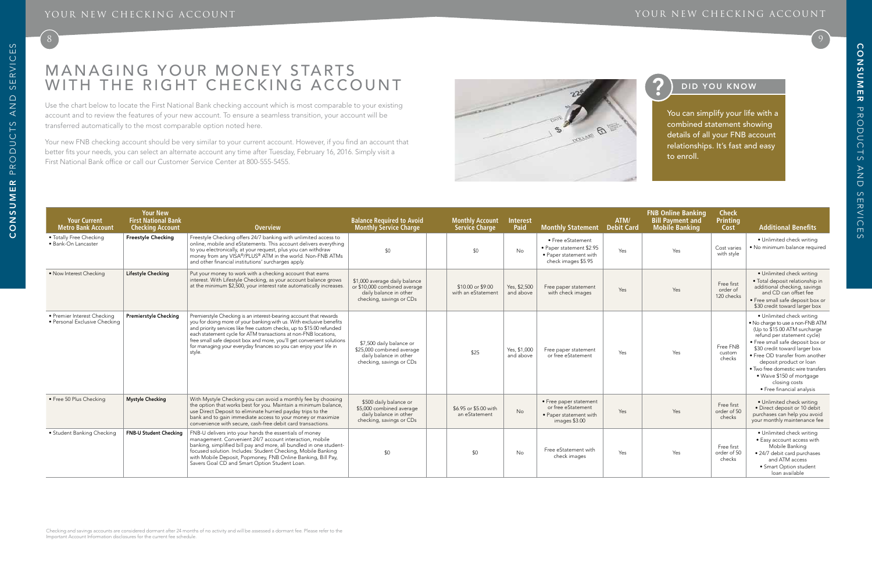

 $\Theta$ 

POLLANS

 $\infty$ 

### YOUR NEW CHECKING ACCOUNT THE SERVICE OF A SERVICE OF A SERVICE OF A SERVICE OF A SERVICE ACCOUNT

## DID YOU KNOW

Use the chart below to locate the First National Bank checking account which is most comparable to your existing account and to review the features of your new account. To ensure a seamless transition, your account will be transferred automatically to the most comparable option noted here.

Your new FNB checking account should be very similar to your current account. However, if you find an account that better fits your needs, you can select an alternate account any time after Tuesday, February 16, 2016. Simply visit a First National Bank office or call our Customer Service Center at 800-555-5455.

# MANAGING YOUR MONEY STARTS WITH THE RIGHT CHECKING ACCOUNT

| <b>Your Current</b><br><b>Metro Bank Account</b>             | <b>Your New</b><br><b>First National Bank</b><br><b>Checking Account</b> | <b>Overview</b>                                                                                                                                                                                                                                                                                                                                                                                                                              | <b>Balance Required to Avoid<br/>Monthly Service Charge</b>                                                         | <b>Monthly Account</b><br><b>Service Charge</b> | <b>Interest</b><br>Paid   | <b>Monthly Statement</b>                                                                       | ATM/<br>Debit Card | <b>FNB Online Banking</b><br><b>Bill Payment and</b><br><b>Mobile Banking</b> | <b>Check</b><br><b>Printing</b><br>Cost | <b>Additional Benefits</b>                                                                                                                                                                                                                                                                                                                                                        |
|--------------------------------------------------------------|--------------------------------------------------------------------------|----------------------------------------------------------------------------------------------------------------------------------------------------------------------------------------------------------------------------------------------------------------------------------------------------------------------------------------------------------------------------------------------------------------------------------------------|---------------------------------------------------------------------------------------------------------------------|-------------------------------------------------|---------------------------|------------------------------------------------------------------------------------------------|--------------------|-------------------------------------------------------------------------------|-----------------------------------------|-----------------------------------------------------------------------------------------------------------------------------------------------------------------------------------------------------------------------------------------------------------------------------------------------------------------------------------------------------------------------------------|
| • Totally Free Checking<br>· Bank-On Lancaster               | <b>Freestyle Checking</b>                                                | Freestyle Checking offers 24/7 banking with unlimited access to<br>online, mobile and eStatements. This account delivers everything<br>to you electronically, at your request, plus you can withdraw<br>money from any VISA®/PLUS® ATM in the world. Non-FNB ATMs<br>and other financial institutions' surcharges apply.                                                                                                                     | \$0                                                                                                                 | \$0                                             | <b>No</b>                 | • Free eStatement<br>• Paper statement \$2.95<br>• Paper statement with<br>check images \$5.95 | Yes                | Yes                                                                           | Cost varies<br>with style               | · Unlimited check writing<br>. No minimum balance required                                                                                                                                                                                                                                                                                                                        |
| • Now Interest Checking                                      | Lifestyle Checking                                                       | Put your money to work with a checking account that earns<br>interest. With Lifestyle Checking, as your account balance grows<br>at the minimum \$2,500, your interest rate automatically increases.                                                                                                                                                                                                                                         | \$1,000 average daily balance<br>or \$10,000 combined average<br>daily balance in other<br>checking, savings or CDs | \$10,00 or \$9,00<br>with an eStatement         | Yes, \$2,500<br>and above | Free paper statement<br>with check images                                                      | Yes                | Yes                                                                           | Free first<br>order of<br>120 checks    | · Unlimited check writing<br>· Total deposit relationship in<br>additional checking, savings<br>and CD can offset fee<br>· Free small safe deposit box or<br>\$30 credit toward larger box                                                                                                                                                                                        |
| • Premier Interest Checking<br>· Personal Exclusive Checking | Premierstyle Checking                                                    | Premierstyle Checking is an interest-bearing account that rewards<br>you for doing more of your banking with us. With exclusive benefits<br>and priority services like free custom checks, up to \$15.00 refunded<br>each statement cycle for ATM transactions at non-FNB locations,<br>free small safe deposit box and more, you'll get convenient solutions<br>for managing your everyday finances so you can enjoy your life in<br>style. | \$7,500 daily balance or<br>\$25,000 combined average<br>daily balance in other<br>checking, savings or CDs         | \$25                                            | Yes, \$1,000<br>and above | Free paper statement<br>or free eStatement                                                     | Yes                | Yes                                                                           | Free FNB<br>custom<br>checks            | • Unlimited check writing<br>. No charge to use a non-FNB ATM<br>(Up to $$15.00$ ATM surcharge<br>refund per statement cycle)<br>· Free small safe deposit box or<br>\$30 credit toward larger box<br>• Free OD transfer from another<br>deposit product or loan<br>• Two free domestic wire transfers<br>. Waive \$150 of mortgage<br>closing costs<br>• Free financial analysis |
| · Free 50 Plus Checking                                      | <b>Mystyle Checking</b>                                                  | With Mystyle Checking you can avoid a monthly fee by choosing<br>the option that works best for you. Maintain a minimum balance,<br>use Direct Deposit to eliminate hurried payday trips to the<br>bank and to gain immediate access to your money or maximize<br>convenience with secure, cash-free debit card transactions.                                                                                                                | \$500 daily balance or<br>\$5,000 combined average<br>daily balance in other<br>checking, savings or CDs            | \$6.95 or \$5.00 with<br>an eStatement          | No                        | • Free paper statement<br>or free eStatement<br>• Paper statement with<br>images \$3.00        | Yes                | Yes                                                                           | Free first<br>order of 50<br>checks     | · Unlimited check writing<br>· Direct deposit or 10 debit<br>purchases can help you avoid<br>your monthly maintenance fee                                                                                                                                                                                                                                                         |
| • Student Banking Checking                                   | <b>FNB-U Student Checking</b>                                            | FNB-U delivers into your hands the essentials of money<br>management. Convenient 24/7 account interaction, mobile<br>banking, simplified bill pay and more, all bundled in one student-<br>focused solution. Includes: Student Checking, Mobile Banking<br>with Mobile Deposit, Popmoney, FNB Online Banking, Bill Pay,<br>Savers Goal CD and Smart Option Student Loan.                                                                     | \$0                                                                                                                 | \$0                                             | <b>No</b>                 | Free eStatement with<br>check images                                                           | Yes                | Yes                                                                           | Free first<br>order of 50<br>checks     | • Unlimited check writing<br>• Easy account access with<br>Mobile Banking<br>• 24/7 debit card purchases<br>and ATM access<br>• Smart Option student<br>loan available                                                                                                                                                                                                            |

You can simplify your life with a combined statement showing details of all your FNB account relationships. It's fast and easy to enroll.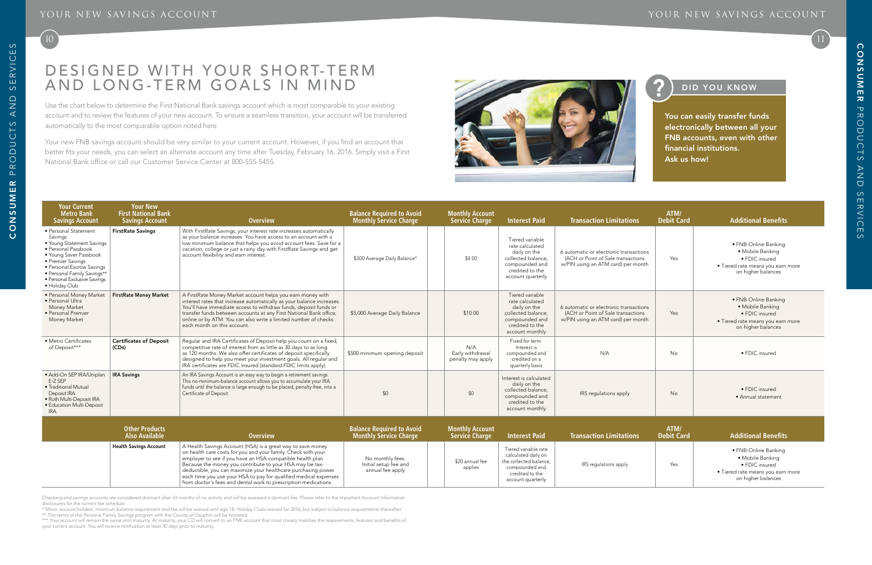### Your New Savings Account Your New Savings Account

## 10 11

### DID YOU KNOW

# DESIGNED WITH YOUR SHORT-TERM and L o ng-term Goals in Mind

Use the chart below to determine the First National Bank savings account which is most comparable to your existing account and to review the features of your new account. To ensure a seamless transition, your account will be transferred automatically to the most comparable option noted here.

Your new FNB savings account should be very similar to your current account. However, if you better fits your needs, you can select an alternate account any time after Tuesday, February 16, 20 National Bank office or call our Customer Service Center at 800-555-5455.

\*\*\* Your account will remain the same until maturity. At maturity, your CD will convert to an FNB account that most closely matches the requirements, features and benefits of your current account. You will receive notification at least 30 days prior to maturity.

Checking and savings accounts are considered dormant after 24 months of no activity and will be assessed a dormant fee. Please refer to the Important Account Information disclosures for the current fee schedule.

\* Minor account holders' minimum balance requirement and fee will be waived until age 18. Holiday Clubs waived for 2016, but subject to balance requirements thereafter.

\*\* The terms of the Personal Family Savings program with the County of Dauphin will be honored.

| find an account that<br>016. Simply visit a First           |                                          |                      |                        |
|-------------------------------------------------------------|------------------------------------------|----------------------|------------------------|
| <b>Balance Required to Avoid<br/>Monthly Service Charge</b> | <b>Monthly Account</b><br>Service Charge | <b>Interest Paid</b> | <b>Transaction Lir</b> |
|                                                             |                                          |                      |                        |

You can easily transfer funds electronically between all your FNB accounts, even with other financial institutions. Ask us how!

| Your Current<br><b>Metro Bank</b><br><b>Savings Account</b>                                                                                                                                                                                      | <b>Your New</b><br><b>First National Bank</b><br><b>Savings Account</b> | <b>Overview</b>                                                                                                                                                                                                                                                                                                                                                                                                                                                | <b>Balance Required to Avoid</b><br><b>Monthly Service Charge</b> | <b>Monthly Account</b><br><b>Service Charge</b> | <b>Interest Paid</b>                                                                                                               | <b>Transaction Limitations</b>                                                                                     | ATM/<br><b>Debit Card</b> | <b>Additional Benefits</b>                                                                                            |
|--------------------------------------------------------------------------------------------------------------------------------------------------------------------------------------------------------------------------------------------------|-------------------------------------------------------------------------|----------------------------------------------------------------------------------------------------------------------------------------------------------------------------------------------------------------------------------------------------------------------------------------------------------------------------------------------------------------------------------------------------------------------------------------------------------------|-------------------------------------------------------------------|-------------------------------------------------|------------------------------------------------------------------------------------------------------------------------------------|--------------------------------------------------------------------------------------------------------------------|---------------------------|-----------------------------------------------------------------------------------------------------------------------|
| · Personal Statement<br>Savings<br>• Young Statement Savings<br>· Personal Passbook<br>• Young Saver Passbook<br>• Premier Savings<br>• Personal Escrow Savings<br>· Personal Family Savings**<br>· Personal Exclusive Savings<br>· Holiday Club | <b>FirstRate Savings</b>                                                | With FirstRate Savings, your interest rate increases automatically<br>as your balance increases. You have access to an account with a<br>low minimum balance that helps you avoid account fees. Save for a<br>vacation, college or just a rainy day with FirstRate Savings and get<br>account flexibility and earn interest.                                                                                                                                   | \$300 Average Daily Balance*                                      | \$4.00                                          | Tiered variable<br>rate calculated<br>daily on the<br>collected balance.<br>compounded and<br>credited to the<br>account quarterly | 6 automatic or electronic transactions<br>(ACH or Point of Sale transactions<br>w/PIN using an ATM card) per month | Yes                       | · FNB-Online Banking<br>• Mobile Banking<br>• FDIC insured<br>· Tiered rate means you earn more<br>on higher balances |
| · Personal Money Market<br>· Personal Ultra<br>Money Market<br>· Personal Premier<br>Money Market                                                                                                                                                | <b>FirstRate Money Market</b>                                           | A FirstRate Money Market account helps you earn money with<br>interest rates that increase automatically as your balance increases.<br>You'll have immediate access to withdraw funds, deposit funds or<br>transfer funds between accounts at any First National Bank office,<br>online or by ATM. You can also write a limited number of checks<br>each month on this account.                                                                                | \$5,000 Average Daily Balance                                     | \$10.00                                         | Tiered variable<br>rate calculated<br>daily on the<br>collected balance,<br>compounded and<br>credited to the<br>account monthly   | 6 automatic or electronic transactions<br>(ACH or Point of Sale transactions<br>w/PIN using an ATM card) per month | Yes                       | · FNB-Online Banking<br>· Mobile Banking<br>· FDIC insured<br>· Tiered rate means you earn more<br>on higher balances |
| • Metro Certificates<br>of Deposit***                                                                                                                                                                                                            | <b>Certificates of Deposit</b><br>(CDs)                                 | Regular and IRA Certificates of Deposit help you count on a fixed,<br>competitive rate of interest from as little as 30 days to as long<br>as 120 months. We also offer certificates of deposit specifically<br>designed to help you meet your investment goals. All regular and<br>IRA certificates are FDIC insured (standard FDIC limits apply).                                                                                                            | \$500 minimum opening deposit                                     | N/A<br>Early withdrawal<br>penalty may apply    | Fixed for term.<br>Interest is<br>compounded and<br>credited on a<br>quarterly basis                                               | N/A                                                                                                                | No                        | • FDIC insured                                                                                                        |
| · Add-On SEP IRA/Uniplan<br>E-Z SEP<br>• Traditional Mutual<br>Deposit IRA<br>· Roth Multi-Deposit IRA<br>· Education Multi-Deposit<br><b>IRA</b>                                                                                                | <b>IRA Savings</b>                                                      | An IRA Savings Account is an easy way to begin a retirement savings.<br>This no-minimum-balance account allows you to accumulate your IRA<br>funds until the balance is large enough to be placed, penalty-free, into a<br>Certificate of Deposit.                                                                                                                                                                                                             | \$0                                                               | \$0                                             | Interest is calculated<br>daily on the<br>collected balance.<br>compounded and<br>credited to the<br>account monthly               | IRS regulations apply                                                                                              | No                        | • FDIC insured<br>• Annual statement                                                                                  |
|                                                                                                                                                                                                                                                  | <b>Other Products</b><br><b>Also Available</b>                          | <b>Overview</b>                                                                                                                                                                                                                                                                                                                                                                                                                                                | <b>Balance Required to Avoid</b><br><b>Monthly Service Charge</b> | <b>Monthly Account</b><br><b>Service Charge</b> | <b>Interest Paid</b>                                                                                                               | <b>Transaction Limitations</b>                                                                                     | ATM/<br><b>Debit Card</b> | <b>Additional Benefits</b>                                                                                            |
|                                                                                                                                                                                                                                                  | <b>Health Savings Account</b>                                           | A Health Savings Account (HSA) is a great way to save money<br>on health care costs for you and your family. Check with your<br>employer to see if you have an HSA-compatible health plan.<br>Because the money you contribute to your HSA may be tax-<br>deductible, you can maximize your healthcare purchasing power<br>each time you use your HSA to pay for qualified medical expenses<br>from doctor's fees and dental work to prescription medications. | No monthly fees.<br>Initial setup fee and<br>annual fee apply     | \$20 annual fee<br>applies                      | Tiered variable rate<br>calculated daily on<br>the collected balance,<br>compounded and<br>credited to the<br>account quarterly    | IRS regulations apply                                                                                              | Yes                       | · FNB-Online Banking<br>· Mobile Banking<br>· FDIC insured<br>• Tiered rate means you earn more<br>on higher balances |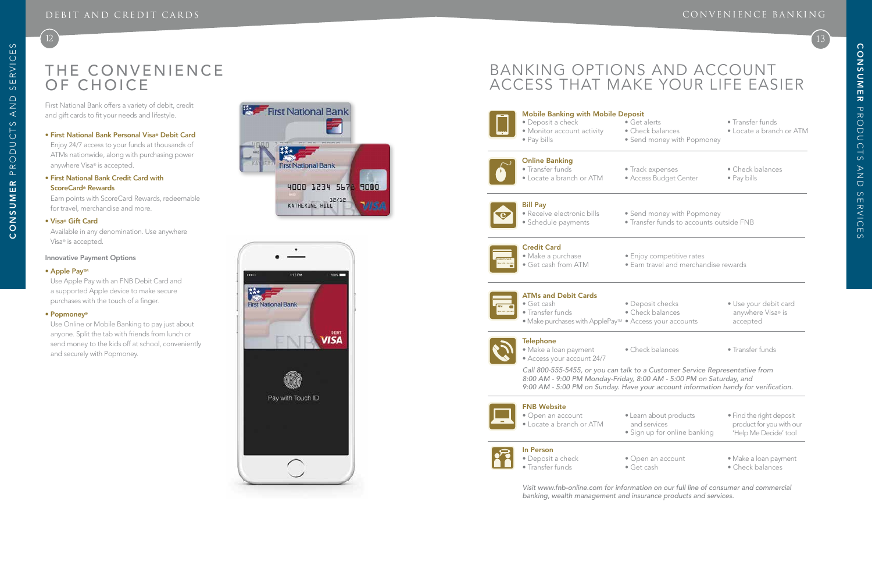# THE CONVENIENCE OF CHO

### NVE NIE NCE BANKI N G

12 13

First National Bank offers a variety of debit, credit and gift cards to fit your needs and lifestyle.

• First National Bank Personal Visa ® Debit Card Enjoy 24/7 access to your funds at thousands of ATMs nationwide, along with purchasing power anywhere Visa ® is accepted.

### • First National Bank Credit Card with ScoreCard ® Rewards

Earn points with ScoreCard Rewards, redeemable for travel, merchandise and more.

#### • Visa ® Gift Card

Available in any denomination. Use anywhere Visa ® is accepted.

#### Innovative Payment Options

#### • Apple Pay<sub>TM</sub>

Use Apple Pay with an FNB Debit Card and a supported Apple device to make secure purchases with the touch of a finger.

#### • Popmoney®

Use Online or Mobile Banking to pay just about anyone. Split the tab with friends from lunch or send money to the kids off at school, conveniently and securely with Popmoney.





# BANKING OPTIONS AND ACCOUNT ACCESS THAT MAKE YOUR LIFE EASIER

• Send money with Popmoney



### Mobile Banking with Mobile Deposit • Deposit a check • Get alerts • Transfer funds

- Monitor account activity Check balances Locate a branch or ATM<br>• Pay bills Send money with Popmoney
- 



### Online Banking • Transfer funds • Track **Frack balances**

- Locate a branch or ATM Acc
	-



### ATMs and Debit Cards

- 
- 
- 



### **Telephone**

#### Bill Pay • Receive electronic bills • Ser

- Schedule payments Transfer
	-



#### FNB Website

- Open an account Learn about products
- Locate a branch or ATM and
	- $•$  Sign



### In Person

- Deposit a check Open and payment Open and payment Make a loan payment Make a loan payment Make a loan payment Make a loan payment Make a loan payment Make a loan payment Make a loan payment Make a loa  $\bullet$  Transfer funds
	-

*Visit www.fnb-online.com for information on our full line of consumer and commercial banking, wealth management and insurance products and services.*

| <b>Online Banking</b><br>• Transfer funds<br>· Locate a branch or ATM                                                               | • Track expenses<br>· Access Budget Center                                                                                                                                                                                                | • Check balances<br>• Pay bills                                               |
|-------------------------------------------------------------------------------------------------------------------------------------|-------------------------------------------------------------------------------------------------------------------------------------------------------------------------------------------------------------------------------------------|-------------------------------------------------------------------------------|
| <b>Bill Pay</b><br>· Receive electronic bills<br>· Schedule payments                                                                | • Send money with Popmoney<br>· Transfer funds to accounts outside FNB                                                                                                                                                                    |                                                                               |
| <b>Credit Card</b><br>· Make a purchase<br>• Get cash from ATM                                                                      | • Enjoy competitive rates<br>· Earn travel and merchandise rewards                                                                                                                                                                        |                                                                               |
| <b>ATMs and Debit Cards</b><br>· Get cash<br>• Transfer funds<br>· Make purchases with ApplePay <sup>m</sup> · Access your accounts | · Deposit checks<br>• Check balances                                                                                                                                                                                                      | · Use your debit card<br>anywhere Visa® is<br>accepted                        |
| <b>Telephone</b><br>· Make a loan payment<br>• Access your account 24/7                                                             | • Check balances                                                                                                                                                                                                                          | • Transfer funds                                                              |
|                                                                                                                                     | Call 800-555-5455, or you can talk to a Customer Service Representative from<br>8:00 AM - 9:00 PM Monday-Friday, 8:00 AM - 5:00 PM on Saturday, and<br>9:00 AM - 5:00 PM on Sunday. Have your account information handy for verification. |                                                                               |
| <b>FNB Website</b><br>· Open an account<br>· Locate a branch or ATM                                                                 | • Learn about products<br>and services<br>· Sign up for online banking                                                                                                                                                                    | · Find the right deposit<br>product for you with our<br>'Help Me Decide' tool |
| <b>In Person</b><br>· Deposit a check<br>• Transfer funds                                                                           | • Open an account<br>· Get cash                                                                                                                                                                                                           | · Make a loan payment<br>• Check balances                                     |
|                                                                                                                                     |                                                                                                                                                                                                                                           |                                                                               |

|                     | Cred    |
|---------------------|---------|
| <b>CREDIT CARD</b>  | 1а<br>٠ |
| 1234 5678 1234 5678 |         |

## dit Card ake a purchase • Enjoy

- et cash from ATM Ear
	-

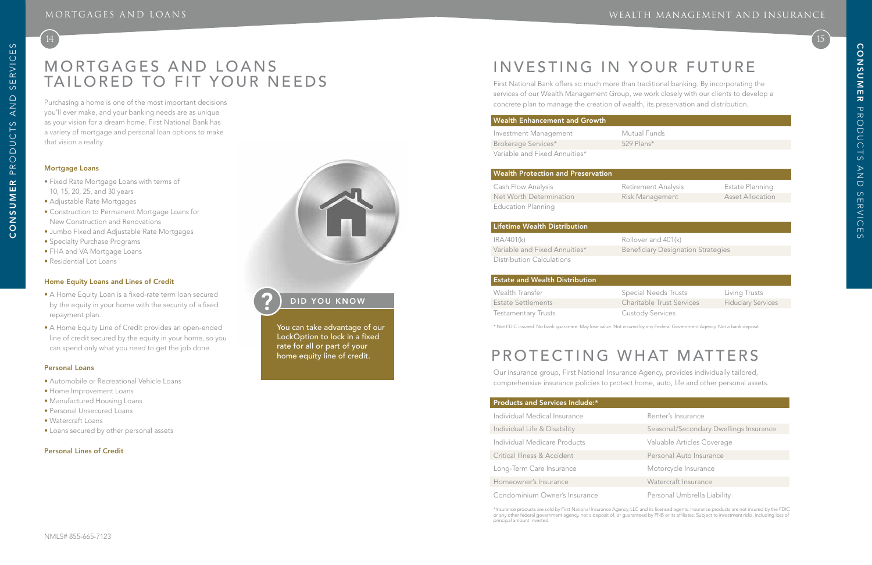# MORTGAGES AND LOANS INVESTING IN YOUR FUTURE TAILORED TO FIT YOUR NEEDS

## WEALTH MANAGEMENT AND INSURANCE

15

tual Funds Plans\*

ement Analysis **Estate Planning** Management Asset Allocation

ver and 401(k) ficiary Designation Strategies

al Needs Trusts **Election Communists** able Trust Services Fiduciary Services

dy Services

| Renter's Insurance |
|--------------------|
|                    |

Individual Life & Disability Seasonal/Secondary Dwellings Insurance

First National Bank offers so much more than traditional banking. By incorporating the services of our Wealth Management Group, we work closely with our clients to develop a concrete plan to manage the creation of wealth, its preservation and distribution.

### Wealth Enhancement and Growth

| Investment Management         | Muti |
|-------------------------------|------|
| Brokerage Services*           | 529  |
| Variable and Fixed Annuities* |      |

#### Wealth Protection and Preservation

| Cash Flow Analysis        | Retire |
|---------------------------|--------|
| Net Worth Determination   | Risk N |
| <b>Education Planning</b> |        |

#### Lifetime Wealth Distribution

| IRA/401(k)                    | Rolloy |
|-------------------------------|--------|
| Variable and Fixed Annuities* | Bene   |
| Distribution Calculations     |        |

### Estate and Wealth Distribution

| Wealth Transfer            | Specia |
|----------------------------|--------|
| Estate Settlements         | Charit |
| <b>Testamentary Trusts</b> | Custo  |

Purchasing a home is one of the most important decisions you'll ever make, and your banking needs are as unique as your vision for a dream home. First National Bank has a variety of mortgage and personal loan options to make that vision a reality.

#### Mortgage Loans

 $(14)$ 

- Fixed Rate Mortgage Loans with terms of 10, 15, 20, 25, and 30 years
- Adjustable Rate Mortgages
- Construction to Permanent Mortgage Loans for New Construction and Renovations
- Jumbo Fixed and Adjustable Rate Mortgages
- Specialty Purchase Programs
- FHA and VA Mortgage Loans
- Residential Lot Loans

### Home Equity Loans and Lines of Credit

- A Home Equity Loan is a fixed-rate term loan secured by the equity in your home with the security of a fixed repayment plan.
- A Home Equity Line of Credit provides an open-ended line of credit secured by the equity in your home, so you can spend only what you need to get the job done.

#### Personal Loans

- Automobile or Recreational Vehicle Loans
- Home Improvement Loans
- Manufactured Housing Loans
- Personal Unsecured Loans
- Watercraft Loans
- Loans secured by other personal assets

### Personal Lines of Credit



## DID YOU KNOW

You can take advantage of our LockOption to lock in a fixed rate for all or part of your home equity line of credit.

\* Not FDIC insured. No bank guarantee. May lose value. Not insured by any Federal Government Agency. Not a bank deposit.

# PROTECTING WHAT MATTERS

Our insurance group, First National Insurance Agency, provides individually tailored, comprehensive insurance policies to protect home, auto, life and other personal assets.

### Products and Services Include:\*

Individual Medical Insurance Individual Medicare Products Valuable Articles Coverage Critical Illness & Accident **Personal Auto Insurance** Long-Term Care Insurance Motorcycle Insurance Homeowner's Insurance Watercraft Insurance

Condominium Owner's Insurance Personal Umbrella Liability

\*Insurance products are sold by First National Insurance Agency, LLC and its licensed agents. Insurance products are not insured by the FDIC or any other federal government agency, not a deposit of, or guaranteed by FNB or its affiliates. Subject to investment risks, including loss of principal amount invested.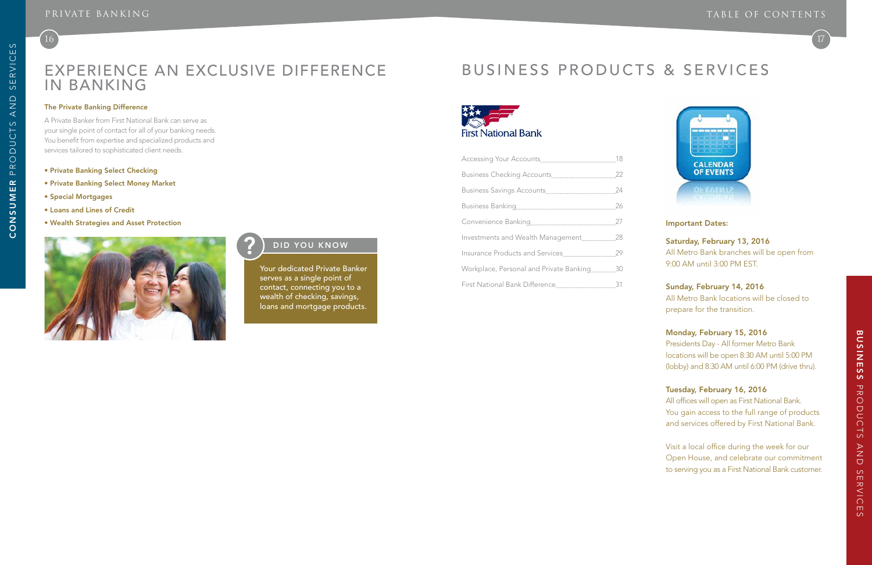

# Experience an Exclusive Difference in Banking

#### The Private Banking Difference

A Private Banker from First National Bank can serve as your single point of contact for all of your banking needs. You benefit from expertise and specialized products and services tailored to sophisticated client needs.

- Private Banking Select Checking
- Private Banking Select Money Market
- Special Mortgages
- Loans and Lines of Credit
- Wealth Strategies and Asset Protection



## **2** DID YOU KNOW

Your dedicated Private Banker serves as a single point of contact, connecting you to a wealth of checking, savings, loans and mortgage products.

| Investments and Wealth Management28       |  |
|-------------------------------------------|--|
|                                           |  |
| Workplace, Personal and Private Banking30 |  |
|                                           |  |

 $(16)$ 

# Business Products & Services



### Important Dates:

### Saturday, February 13, 2016

All Metro Bank branches will be open from 9:00 AM until 3:00 PM EST.

### Sunday, February 14, 2016

All Metro Bank locations will be closed to prepare for the transition.

### Monday, February 15, 2016

Presidents Day - All former Metro Bank locations will be open 8:30 AM until 5:00 PM (lobby) and 8:30 AM until 6:00 PM (drive thru).

### Tuesday, February 16, 2016

All offices will open as First National Bank. You gain access to the full range of products and services offered by First National Bank.

Visit a local office during the week for our Open House, and celebrate our commitment to serving you as a First National Bank customer.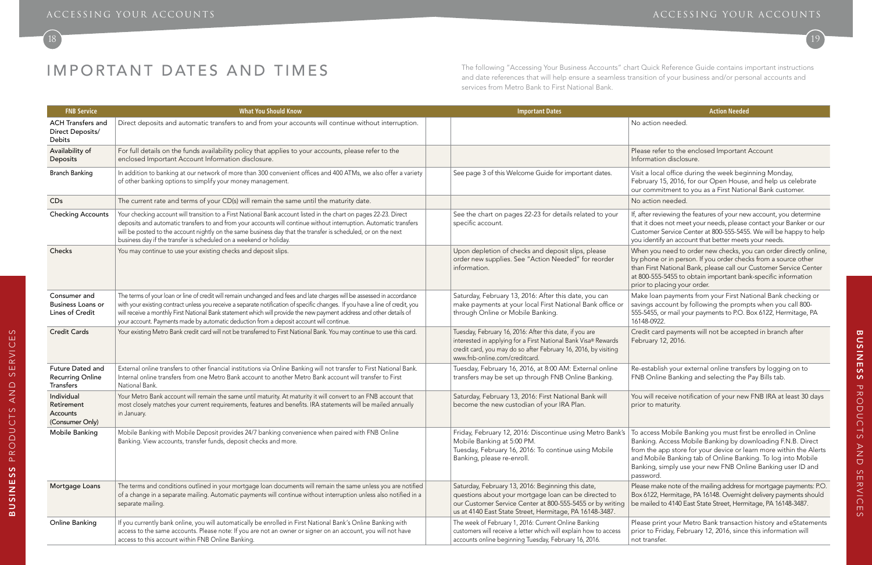se refer to the enclosed Important Account rmation disclosure.

a local office during the week beginning Monday, ruary 15, 2016, for our Open House, and help us celebrate commitment to you as a First National Bank customer.

Iter reviewing the features of your new account, you determine it does not meet your needs, please contact your Banker or our tomer Service Center at 800-555-5455. We will be happy to help identify an account that better meets your needs.

en you need to order new checks, you can order directly online, bhone or in person. If you order checks from a source other First National Bank, please call our Customer Service Center 00-555-5455 to obtain important bank-specific information r to placing your order.

IMPORTANT DATES AND TIMES<br>The following "Accessing Your Business Accounts" chart Quick Reference Guide contains important instructions and date references that will help ensure a seamless transition of your business and/or personal accounts and services from Metro Bank to First National Bank.

> ke loan payments from your First National Bank checking or ngs account by following the prompts when you call 800-555-5455, or mail your payments to P.O. Box 6122, Hermitage, PA 16148-0922.

dit card payments will not be accepted in branch after ruary 12, 2016.

establish your external online transfers by logging on to Online Banking and selecting the Pay Bills tab.

will receive notification of your new FNB IRA at least 30 days r to maturity.

access Mobile Banking you must first be enrolled in Online king. Access Mobile Banking by downloading F.N.B. Direct n the app store for your device or learn more within the Alerts Mobile Banking tab of Online Banking. To log into Mobile king, simply use your new FNB Online Banking user ID and sword.

se make note of the mailing address for mortgage payments: P.O. 6122, Hermitage, PA 16148. Overnight delivery payments should hailed to 4140 East State Street, Hermitage, PA 16148-3487.

ise print your Metro Bank transaction history and eStatements r to Friday, February 12, 2016, since this information will transfer.

| <b>FNB Service</b>                                            | <b>What You Should Know</b>                                                                                                                                                                                                                                                                                                                                                                                                                                                  | <b>Important Dates</b>                                                                                                                                                                                                             | <b>Action Needed</b>                                                                                                                                                                                                      |
|---------------------------------------------------------------|------------------------------------------------------------------------------------------------------------------------------------------------------------------------------------------------------------------------------------------------------------------------------------------------------------------------------------------------------------------------------------------------------------------------------------------------------------------------------|------------------------------------------------------------------------------------------------------------------------------------------------------------------------------------------------------------------------------------|---------------------------------------------------------------------------------------------------------------------------------------------------------------------------------------------------------------------------|
| <b>ACH Transfers and</b><br>Direct Deposits/<br><b>Debits</b> | Direct deposits and automatic transfers to and from your accounts will continue without interruption.                                                                                                                                                                                                                                                                                                                                                                        |                                                                                                                                                                                                                                    | No action needed                                                                                                                                                                                                          |
| Availability of<br>Deposits                                   | For full details on the funds availability policy that applies to your accounts, please refer to the<br>enclosed Important Account Information disclosure.                                                                                                                                                                                                                                                                                                                   |                                                                                                                                                                                                                                    | Please refer to the enclosed Important<br>Information disclosure.                                                                                                                                                         |
| <b>Branch Banking</b>                                         | In addition to banking at our network of more than 300 convenient offices and 400 ATMs, we also offer a variety<br>of other banking options to simplify your money management.                                                                                                                                                                                                                                                                                               | See page 3 of this Welcome Guide for important dates.                                                                                                                                                                              | Visit a local office during the week begi<br>February 15, 2016, for our Open House<br>our commitment to you as a First Natio                                                                                              |
| CDs                                                           | The current rate and terms of your CD(s) will remain the same until the maturity date.                                                                                                                                                                                                                                                                                                                                                                                       |                                                                                                                                                                                                                                    | No action needed                                                                                                                                                                                                          |
| <b>Checking Accounts</b>                                      | Your checking account will transition to a First National Bank account listed in the chart on pages 22-23. Direct<br>deposits and automatic transfers to and from your accounts will continue without interruption. Automatic transfers<br>will be posted to the account nightly on the same business day that the transfer is scheduled, or on the next<br>business day if the transfer is scheduled on a weekend or holiday.                                               | See the chart on pages 22-23 for details related to your<br>specific account.                                                                                                                                                      | If, after reviewing the features of your nev<br>that it does not meet your needs, please<br>Customer Service Center at 800-555-5455<br>you identify an account that better meets                                          |
| Checks                                                        | You may continue to use your existing checks and deposit slips.                                                                                                                                                                                                                                                                                                                                                                                                              | Upon depletion of checks and deposit slips, please<br>order new supplies. See "Action Needed" for reorder<br>information.                                                                                                          | When you need to order new checks, yc<br>by phone or in person. If you order chec<br>than First National Bank, please call our<br>at 800-555-5455 to obtain important bar<br>prior to placing your order.                 |
| Consumer and<br><b>Business Loans or</b><br>Lines of Credit   | The terms of your loan or line of credit will remain unchanged and fees and late charges will be assessed in accordance<br>with your existing contract unless you receive a separate notification of specific changes. If you have a line of credit, you<br>will receive a monthly First National Bank statement which will provide the new payment address and other details of<br>your account. Payments made by automatic deduction from a deposit account will continue. | Saturday, February 13, 2016: After this date, you can<br>make payments at your local First National Bank office or<br>through Online or Mobile Banking.                                                                            | Make loan payments from your First Na<br>savings account by following the promp<br>555-5455, or mail your payments to P.O. E<br>16148-0922.                                                                               |
| <b>Credit Cards</b>                                           | Your existing Metro Bank credit card will not be transferred to First National Bank. You may continue to use this card.                                                                                                                                                                                                                                                                                                                                                      | Tuesday, February 16, 2016: After this date, if you are<br>interested in applying for a First National Bank Visa® Rewards<br>credit card, you may do so after February 16, 2016, by visiting<br>www.fnb-online.com/creditcard.     | Credit card payments will not be accep<br>February 12, 2016.                                                                                                                                                              |
| Future Dated and<br><b>Recurring Online</b><br>Transfers      | External online transfers to other financial institutions via Online Banking will not transfer to First National Bank.<br>Internal online transfers from one Metro Bank account to another Metro Bank account will transfer to First<br>National Bank.                                                                                                                                                                                                                       | Tuesday, February 16, 2016, at 8:00 AM: External online<br>transfers may be set up through FNB Online Banking.                                                                                                                     | Re-establish your external online transf<br>FNB Online Banking and selecting the                                                                                                                                          |
| Individual<br>Retirement<br>Accounts<br>(Consumer Only)       | Your Metro Bank account will remain the same until maturity. At maturity it will convert to an FNB account that<br>most closely matches your current requirements, features and benefits. IRA statements will be mailed annually<br>in January.                                                                                                                                                                                                                              | Saturday, February 13, 2016: First National Bank will<br>become the new custodian of your IRA Plan.                                                                                                                                | You will receive notification of your new<br>prior to maturity.                                                                                                                                                           |
| Mobile Banking                                                | Mobile Banking with Mobile Deposit provides 24/7 banking convenience when paired with FNB Online<br>Banking. View accounts, transfer funds, deposit checks and more.                                                                                                                                                                                                                                                                                                         | Friday, February 12, 2016: Discontinue using Metro Bank's<br>Mobile Banking at 5:00 PM.<br>Tuesday, February 16, 2016: To continue using Mobile<br>Banking, please re-enroll.                                                      | To access Mobile Banking you must firs<br>Banking. Access Mobile Banking by do<br>from the app store for your device or le<br>and Mobile Banking tab of Online Bank<br>Banking, simply use your new FNB Onli<br>password. |
| Mortgage Loans                                                | The terms and conditions outlined in your mortgage loan documents will remain the same unless you are notified<br>of a change in a separate mailing. Automatic payments will continue without interruption unless also notified in a<br>separate mailing.                                                                                                                                                                                                                    | Saturday, February 13, 2016: Beginning this date,<br>questions about your mortgage loan can be directed to<br>our Customer Service Center at 800-555-5455 or by writing<br>us at 4140 East State Street, Hermitage, PA 16148-3487. | Please make note of the mailing address f<br>Box 6122, Hermitage, PA 16148. Overnigh<br>be mailed to 4140 East State Street, Herm                                                                                         |
| Online Banking                                                | If you currently bank online, you will automatically be enrolled in First National Bank's Online Banking with<br>access to the same accounts. Please note: If you are not an owner or signer on an account, you will not have<br>access to this account within FNB Online Banking.                                                                                                                                                                                           | The week of February 1, 2016: Current Online Banking<br>customers will receive a letter which will explain how to access<br>accounts online beginning Tuesday, February 16, 2016.                                                  | Please print your Metro Bank transactic<br>prior to Friday, February 12, 2016, since<br>not transfer.                                                                                                                     |

## ACCESSING YOUR ACCOUNTS ACCESSING YOUR ACCOUNTS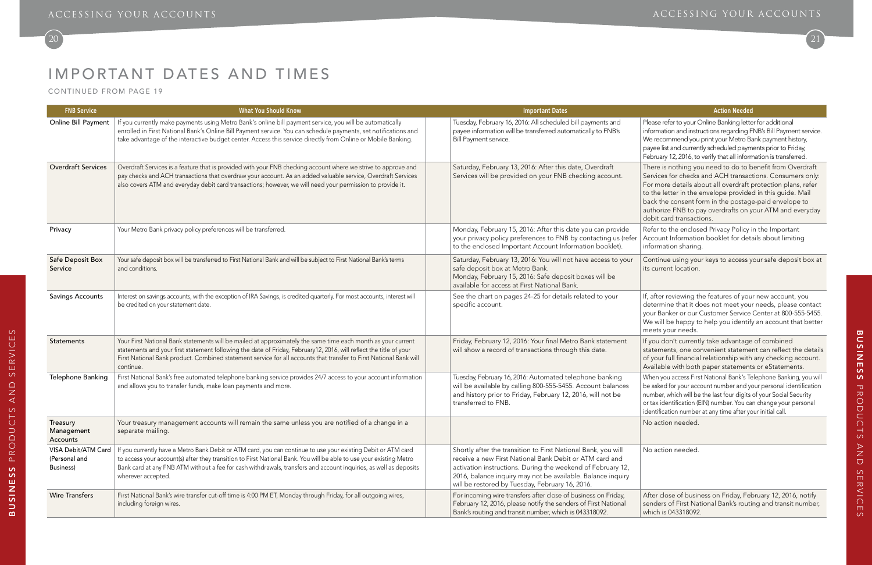# IMPORTANT DATES AND TIMES

CONTINUED FROM PAGE 19

Please refer to your Online Banking letter for additional information and instructions regarding FNB's Bill Payment service. We recommend you print your Metro Bank payment history, payee list and currently scheduled payments prior to Friday, February 12, 2016, to verify that all information is transferred.

There is nothing you need to do to benefit from Overdraft Services for checks and ACH transactions. Consumers only: For more details about all overdraft protection plans, refer to the letter in the envelope provided in this guide. Mail back the consent form in the postage-paid envelope to authorize FNB to pay overdrafts on your ATM and everyday debit card transactions.

Refer to the enclosed Privacy Policy in the Important Account Information booklet for details about limiting information sharing.

Continue using your keys to access your safe deposit box at its current location.

| <b>FNB Service</b>                                | <b>What You Should Know</b>                                                                                                                                                                                                                                                                                                                                                     | <b>Important Dates</b>                                                                                                                                                                                                                                                                                    | <b>Action Needed</b>                                                                                                                                                                                                                                                        |
|---------------------------------------------------|---------------------------------------------------------------------------------------------------------------------------------------------------------------------------------------------------------------------------------------------------------------------------------------------------------------------------------------------------------------------------------|-----------------------------------------------------------------------------------------------------------------------------------------------------------------------------------------------------------------------------------------------------------------------------------------------------------|-----------------------------------------------------------------------------------------------------------------------------------------------------------------------------------------------------------------------------------------------------------------------------|
| Online Bill Payment                               | If you currently make payments using Metro Bank's online bill payment service, you will be automatically<br>enrolled in First National Bank's Online Bill Payment service. You can schedule payments, set notifications and<br>take advantage of the interactive budget center. Access this service directly from Online or Mobile Banking.                                     | Tuesday, February 16, 2016: All scheduled bill payments and<br>payee information will be transferred automatically to FNB's<br>Bill Payment service.                                                                                                                                                      | Please refer to your Online Banking lette<br>information and instructions regarding F<br>We recommend you print your Metro Ba<br>payee list and currently scheduled paym<br>February 12, 2016, to verify that all inforn                                                    |
| <b>Overdraft Services</b>                         | Overdraft Services is a feature that is provided with your FNB checking account where we strive to approve and<br>pay checks and ACH transactions that overdraw your account. As an added valuable service, Overdraft Services<br>also covers ATM and everyday debit card transactions; however, we will need your permission to provide it.                                    | Saturday, February 13, 2016: After this date, Overdraft<br>Services will be provided on your FNB checking account.                                                                                                                                                                                        | There is nothing you need to do to b<br>Services for checks and ACH transact<br>For more details about all overdraft p<br>to the letter in the envelope provide<br>back the consent form in the postage<br>authorize FNB to pay overdrafts on y<br>debit card transactions. |
| Privacy                                           | Your Metro Bank privacy policy preferences will be transferred.                                                                                                                                                                                                                                                                                                                 | Monday, February 15, 2016: After this date you can provide<br>your privacy policy preferences to FNB by contacting us (refer<br>to the enclosed Important Account Information booklet).                                                                                                                   | Refer to the enclosed Privacy Policy i<br>Account Information booklet for deta<br>information sharing.                                                                                                                                                                      |
| Safe Deposit Box<br>Service                       | Your safe deposit box will be transferred to First National Bank and will be subject to First National Bank's terms<br>and conditions.                                                                                                                                                                                                                                          | Saturday, February 13, 2016: You will not have access to your<br>safe deposit box at Metro Bank.<br>Monday, February 15, 2016: Safe deposit boxes will be<br>available for access at First National Bank.                                                                                                 | Continue using your keys to access y<br>its current location.                                                                                                                                                                                                               |
| Savings Accounts                                  | Interest on savings accounts, with the exception of IRA Savings, is credited quarterly. For most accounts, interest will<br>be credited on your statement date.                                                                                                                                                                                                                 | See the chart on pages 24-25 for details related to your<br>specific account.                                                                                                                                                                                                                             | If, after reviewing the features of you<br>determine that it does not meet you<br>your Banker or our Customer Service<br>We will be happy to help you identify<br>meets your needs.                                                                                         |
| Statements                                        | Your First National Bank statements will be mailed at approximately the same time each month as your current<br>statements and your first statement following the date of Friday, February12, 2016, will reflect the title of your<br>First National Bank product. Combined statement service for all accounts that transfer to First National Bank will<br>continue.           | Friday, February 12, 2016: Your final Metro Bank statement<br>will show a record of transactions through this date.                                                                                                                                                                                       | If you don't currently take advantage<br>statements, one convenient stateme<br>of your full financial relationship with<br>Available with both paper statements                                                                                                             |
| Telephone Banking                                 | First National Bank's free automated telephone banking service provides 24/7 access to your account information<br>and allows you to transfer funds, make loan payments and more.                                                                                                                                                                                               | Tuesday, February 16, 2016: Automated telephone banking<br>will be available by calling 800-555-5455. Account balances<br>and history prior to Friday, February 12, 2016, will not be<br>transferred to FNB.                                                                                              | When you access First National Bank's Te<br>be asked for your account number and yo<br>number, which will be the last four digits<br>or tax identification (EIN) number. You ca<br>identification number at any time after yo                                               |
| <b>Ireasury</b><br>Management<br>Accounts         | Your treasury management accounts will remain the same unless you are notified of a change in a<br>separate mailing.                                                                                                                                                                                                                                                            |                                                                                                                                                                                                                                                                                                           | No action needed.                                                                                                                                                                                                                                                           |
| VISA Debit/ATM Card<br>(Personal and<br>Business) | If you currently have a Metro Bank Debit or ATM card, you can continue to use your existing Debit or ATM card<br>to access your account(s) after they transition to First National Bank. You will be able to use your existing Metro<br>Bank card at any FNB ATM without a fee for cash withdrawals, transfers and account inquiries, as well as deposits<br>wherever accepted. | Shortly after the transition to First National Bank, you will<br>receive a new First National Bank Debit or ATM card and<br>activation instructions. During the weekend of February 12,<br>2016, balance inquiry may not be available. Balance inquiry<br>will be restored by Tuesday, February 16, 2016. | No action needed.                                                                                                                                                                                                                                                           |
| <b>Wire Transfers</b>                             | First National Bank's wire transfer cut-off time is 4:00 PM ET, Monday through Friday, for all outgoing wires,<br>including foreign wires.                                                                                                                                                                                                                                      | For incoming wire transfers after close of business on Friday,<br>February 12, 2016, please notify the senders of First National<br>Bank's routing and transit number, which is 043318092.                                                                                                                | After close of business on Friday, Fel<br>senders of First National Bank's routi<br>which is 043318092.                                                                                                                                                                     |

### ACCESSING YOUR ACCOUNTS ACCESSING YOUR ACCOUNTS

## 20 21

If, after reviewing the features of your new account, you determine that it does not meet your needs, please contact your Banker or our Customer Service Center at 800-555-5455. We will be happy to help you identify an account that better meets your needs.

If you don't currently take advantage of combined statements, one convenient statement can reflect the details of your full financial relationship with any checking account. Available with both paper statements or eStatements.

When you access First National Bank's Telephone Banking, you will be asked for your account number and your personal identification number, which will be the last four digits of your Social Security or tax identification (EIN) number. You can change your personal identification number at any time after your initial call.

After close of business on Friday, February 12, 2016, notify senders of First National Bank's routing and transit number, which is 043318092.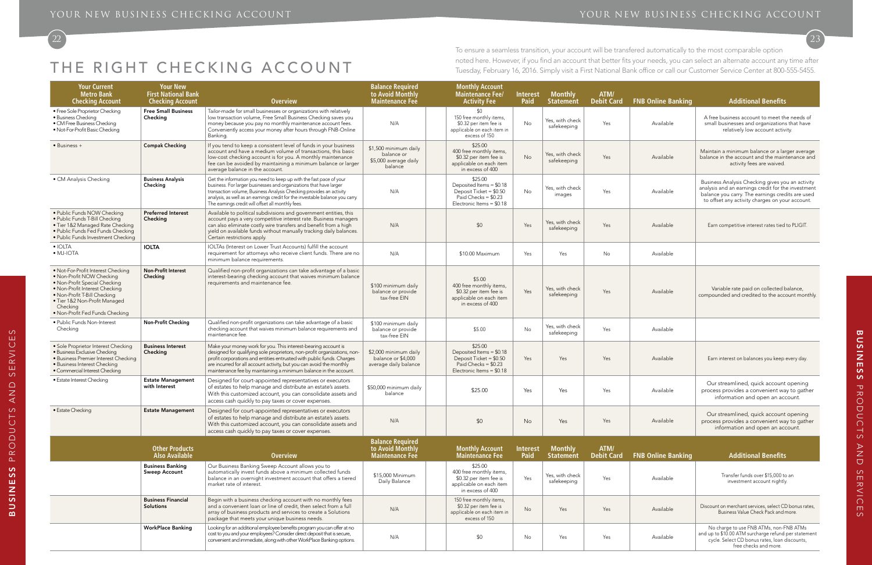# THE RIGHT CHECKING ACCOUNT

22

| <b>Your Current</b><br><b>Metro Bank</b><br><b>Checking Account</b>                                                                                                                                                                                | <b>Your New</b><br><b>First National Bank</b><br><b>Checking Account</b> | <b>Overview</b>                                                                                                                                                                                                                                                                                                                                                 | <b>Balance Required</b><br>to Avoid Monthly<br><b>Maintenance Fee</b>   | <b>Monthly Account</b><br><b>Maintenance Fee/</b><br><b>Activity Fee</b>                                              | <b>Interest</b><br>Paid | <b>Monthly</b><br><b>Statement</b> | ATM/<br>Debit Card        | <b>FNB Online Banking</b> | <b>Additional Benefits</b>                                                                                                                                                                                    |
|----------------------------------------------------------------------------------------------------------------------------------------------------------------------------------------------------------------------------------------------------|--------------------------------------------------------------------------|-----------------------------------------------------------------------------------------------------------------------------------------------------------------------------------------------------------------------------------------------------------------------------------------------------------------------------------------------------------------|-------------------------------------------------------------------------|-----------------------------------------------------------------------------------------------------------------------|-------------------------|------------------------------------|---------------------------|---------------------------|---------------------------------------------------------------------------------------------------------------------------------------------------------------------------------------------------------------|
| • Free Sole Proprietor Checking<br>· Business Checking<br>• CM Free Business Checking<br>· Not-For-Profit Basic Checking                                                                                                                           | <b>Free Small Business</b><br>Checking                                   | Tailor-made for small businesses or organizations with relatively<br>low transaction volume, Free Small Business Checking saves you<br>money because you pay no monthly maintenance account fees.<br>Conveniently access your money after hours through FNB-Online<br>Banking.                                                                                  | N/A                                                                     | \$0<br>150 free monthly items,<br>\$0.32 per item fee is<br>applicable on each item in<br>excess of 150               | No                      | Yes, with check<br>safekeeping     | Yes                       | Available                 | A free business account to meet the needs of<br>small businesses and organizations that have<br>relatively low account activity.                                                                              |
| • Business +                                                                                                                                                                                                                                       | <b>Compak Checking</b>                                                   | If you tend to keep a consistent level of funds in your business<br>account and have a medium volume of transactions, this basic<br>low-cost checking account is for you. A monthly maintenance<br>fee can be avoided by maintaining a minimum balance or larger<br>average balance in the account.                                                             | \$1,500 minimum daily<br>balance or<br>\$5,000 average daily<br>balance | \$25.00<br>400 free monthly items<br>\$0.32 per item fee is<br>applicable on each item<br>in excess of 400            | <b>No</b>               | Yes, with check<br>safekeeping     | Yes                       | Available                 | Maintain a minimum balance or a larger average<br>balance in the account and the maintenance and<br>activity fees are waived.                                                                                 |
| • CM Analysis Checking                                                                                                                                                                                                                             | <b>Business Analysis</b><br>Checking                                     | Get the information you need to keep up with the fast pace of your<br>business. For larger businesses and organizations that have larger<br>transaction volume, Business Analysis Checking provides an activity<br>analysis, as well as an earnings credit for the investable balance you carry.<br>The earnings credit will offset all monthly fees.           | N/A                                                                     | \$25.00<br>Deposited Items = \$0.18<br>Deposit Ticket = \$0.50<br>Paid Checks = $$0.23$<br>Electronic Items = $$0.18$ | No                      | Yes, with check<br>images          | Yes                       | Available                 | Business Analysis Checking gives you an activity<br>analysis and an earnings credit for the investment<br>balance you carry. The earnings credits are used<br>to offset any activity charges on your account. |
| · Public Funds NOW Checking<br>· Public Funds T-Bill Checking<br>· Tier 1&2 Managed Rate Checking<br>· Public Funds Fed Funds Checking<br>· Public Funds Investment Checking                                                                       | <b>Preferred Interest</b><br>Checking                                    | Available to political subdivisions and government entities, this<br>account pays a very competitive interest rate. Business managers<br>can also eliminate costly wire transfers and benefit from a high<br>yield on available funds without manually tracking daily balances.<br>Certain restrictions apply.                                                  | N/A                                                                     | \$0                                                                                                                   | Yes                     | Yes, with check<br>safekeeping     | Yes                       | Available                 | Earn competitive interest rates tied to PLIGIT.                                                                                                                                                               |
| $\bullet$ IOLTA<br>$\bullet$ MJ-IOTA                                                                                                                                                                                                               | <b>IOLTA</b>                                                             | IOLTAs (Interest on Lower Trust Accounts) fulfill the account<br>requirement for attorneys who receive client funds. There are no<br>minimum balance requirements.                                                                                                                                                                                              | N/A                                                                     | \$10.00 Maximum                                                                                                       | Yes                     | Yes                                | No                        | Available                 |                                                                                                                                                                                                               |
| . Not-For-Profit Interest Checking<br>• Non-Profit NOW Checking<br>. Non-Profit Special Checking<br>. Non-Profit Interest Checking<br>• Non-Profit T-Bill Checking<br>· Tier 1&2 Non-Profit Managed<br>Checking<br>. Non-Profit Fed Funds Checking | Non-Profit Interest<br>Checking                                          | Qualified non-profit organizations can take advantage of a basic<br>interest-bearing checking account that waives minimum balance<br>requirements and maintenance fee.                                                                                                                                                                                          | \$100 minimum daily<br>balance or provide<br>tax-free EIN               | \$5.00<br>400 free monthly items,<br>\$0.32 per item fee is<br>applicable on each item<br>in excess of 400            | Yes                     | Yes, with check<br>safekeeping     | Yes                       | Available                 | Variable rate paid on collected balance,<br>compounded and credited to the account monthly.                                                                                                                   |
| · Public Funds Non-Interest<br>Checking                                                                                                                                                                                                            | Non-Profit Checking                                                      | Qualified non-profit organizations can take advantage of a basic<br>checking account that waives minimum balance requirements and<br>maintenance fee.                                                                                                                                                                                                           | \$100 minimum daily<br>balance or provide<br>tax-free EIN               | \$5.00                                                                                                                | No                      | Yes, with check<br>safekeeping     | Yes                       | Available                 |                                                                                                                                                                                                               |
| · Sole Proprietor Interest Checking<br>· Business Exclusive Checking<br>· Business Premier Interest Checking<br>· Business Interest Checking<br>· Commercial Interest Checking                                                                     | <b>Business Interest</b><br>Checking                                     | Make your money work for you. This interest-bearing account is<br>designed for qualifying sole proprietors, non-profit organizations, non-<br>profit corporations and entities entrusted with public funds. Charges<br>are incurred for all account activity, but you can avoid the monthly<br>maintenance fee by maintaining a minimum balance in the account. | \$2,000 minimum daily<br>balance or \$4,000<br>average daily balance    | \$25.00<br>Deposited Items = \$0.18<br>Deposit Ticket = \$0.50<br>Paid Checks = $$0.23$<br>Electronic Items = $$0.18$ | Yes                     | Yes                                | Yes                       | Available                 | Earn interest on balances you keep every day.                                                                                                                                                                 |
| • Estate Interest Checking                                                                                                                                                                                                                         | <b>Estate Management</b><br>with Interest                                | Designed for court-appointed representatives or executors<br>of estates to help manage and distribute an estate's assets.<br>With this customized account, you can consolidate assets and<br>access cash quickly to pay taxes or cover expenses.                                                                                                                | \$50,000 minimum daily<br>balance                                       | \$25.00                                                                                                               | Yes                     | Yes                                | Yes                       | Available                 | Our streamlined, quick account opening<br>process provides a convenient way to gather<br>information and open an account.                                                                                     |
| • Estate Checking                                                                                                                                                                                                                                  | <b>Estate Management</b>                                                 | Designed for court-appointed representatives or executors<br>of estates to help manage and distribute an estate's assets.<br>With this customized account, you can consolidate assets and<br>access cash quickly to pay taxes or cover expenses.                                                                                                                | N/A                                                                     | \$0                                                                                                                   | No                      | Yes                                | Yes                       | Available                 | Our streamlined, quick account opening<br>process provides a convenient way to gather<br>information and open an account.                                                                                     |
|                                                                                                                                                                                                                                                    | <b>Other Products</b><br><b>Also Available</b>                           | <b>Overview</b>                                                                                                                                                                                                                                                                                                                                                 | <b>Balance Required<br/>to Avoid Monthly</b><br><b>Maintenance Fee</b>  | <b>Monthly Account</b><br><b>Maintenance Fee</b>                                                                      | <b>Interest</b><br>Paid | <b>Monthly</b><br><b>Statement</b> | ATM/<br><b>Debit Card</b> | <b>FNB Online Banking</b> | <b>Additional Benefits</b>                                                                                                                                                                                    |
|                                                                                                                                                                                                                                                    | <b>Business Banking</b><br><b>Sweep Account</b>                          | Our Business Banking Sweep Account allows you to<br>automatically invest funds above a minimum collected funds<br>balance in an overnight investment account that offers a tiered<br>market rate of interest.                                                                                                                                                   | \$15,000 Minimum<br>Daily Balance                                       | \$25.00<br>400 free monthly items,<br>\$0.32 per item fee is<br>applicable on each item<br>in excess of 400           | Yes                     | Yes, with check<br>safekeeping     | Yes                       | Available                 | Transfer funds over \$15,000 to an<br>investment account nightly.                                                                                                                                             |
|                                                                                                                                                                                                                                                    | <b>Business Financial</b><br>Solutions                                   | Begin with a business checking account with no monthly fees<br>and a convenient loan or line of credit, then select from a full<br>array of business products and services to create a Solutions<br>package that meets your unique business needs.                                                                                                              | N/A                                                                     | 150 free monthly items,<br>\$0.32 per item fee is<br>applicable on each item in<br>excess of 150                      | No                      | Yes                                | Yes                       | Available                 | Discount on merchant services, select CD bonus rates,<br>Business Value Check Pack and more.                                                                                                                  |
|                                                                                                                                                                                                                                                    | <b>WorkPlace Banking</b>                                                 | Looking for an additional employee benefits program you can offer at no<br>cost to you and your employees? Consider direct deposit that is secure,<br>convenient and immediate, along with other WorkPlace Banking options.                                                                                                                                     | N/A                                                                     | \$0                                                                                                                   | No                      | Yes                                | Yes                       | Available                 | No charge to use FNB ATMs, non-FNB ATMs<br>and up to \$10.00 ATM surcharge refund per statement<br>cycle. Select CD bonus rates, loan discounts,<br>free checks and more.                                     |

To ensure a seamless transition, your account will be transfered automatically to the most comparable option noted here. However, if you find an account that better fits your needs, you can select an alternate account any time after Tuesday, February 16, 2016. Simply visit a First National Bank office or call our Customer Service Center at 800-555-5455.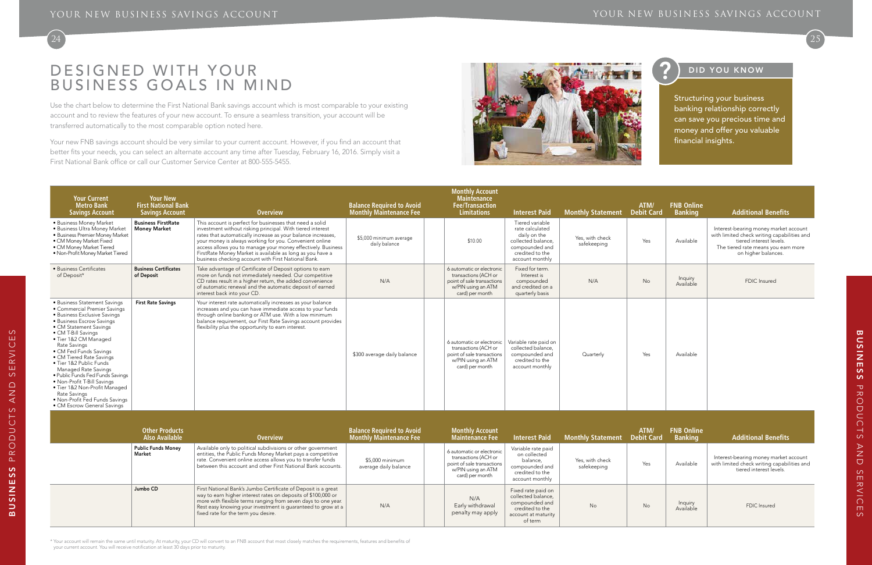# DESIGNED WITH YOUR Business Goals in Mind





# **P** DID YOU KNOW

Use the chart below to determine the First National Bank savings account which is most comparable to your existing account and to review the features of your new account. To ensure a seamless transition, your account will be transferred automatically to the most comparable option noted here.

Your new FNB savings account should be very similar to your current account. However, if you find an account that better fits your needs, you can select an alternate account any time after Tuesday, February 16, 2016. Simply visit a First National Bank office or call our Customer Service Center at 800-555-5455.



| <b>Your Current</b><br><b>Metro Bank</b><br><b>Savings Account</b>                                                                                                                                                                                                                                                                                                                                                                                                                                                | <b>Your New</b><br><b>First National Bank</b><br><b>Savings Account</b> | <b>Overview</b>                                                                                                                                                                                                                                                                                                                                                                                                                       | <b>Balance Required to Avoid</b><br><b>Monthly Maintenance Fee</b> | <b>Monthly Account</b><br><b>Maintenance</b><br><b>Fee/Transaction</b><br><b>Limitations</b>                             | <b>Interest Paid</b>                                                                                                             | <b>Monthly Statement</b>       | ATM/<br><b>Debit Card</b> | <b>FNB Online</b><br><b>Banking</b> | <b>Additional Benefits</b>                                                                                                                                                    |
|-------------------------------------------------------------------------------------------------------------------------------------------------------------------------------------------------------------------------------------------------------------------------------------------------------------------------------------------------------------------------------------------------------------------------------------------------------------------------------------------------------------------|-------------------------------------------------------------------------|---------------------------------------------------------------------------------------------------------------------------------------------------------------------------------------------------------------------------------------------------------------------------------------------------------------------------------------------------------------------------------------------------------------------------------------|--------------------------------------------------------------------|--------------------------------------------------------------------------------------------------------------------------|----------------------------------------------------------------------------------------------------------------------------------|--------------------------------|---------------------------|-------------------------------------|-------------------------------------------------------------------------------------------------------------------------------------------------------------------------------|
| · Business Money Market<br>· Business Ultra Money Market<br>· Business Premier Money Market<br>• CM Money Market Fixed<br>• CM Money Market Tiered<br>. Non-Profit Money Market Tiered                                                                                                                                                                                                                                                                                                                            | <b>Business FirstRate</b><br><b>Money Market</b>                        | This account is perfect for businesses that need a solid<br>investment without risking principal. With tiered interest<br>rates that automatically increase as your balance increases,<br>your money is always working for you. Convenient online<br>access allows you to manage your money effectively. Business<br>FirstRate Money Market is available as long as you have a<br>business checking account with First National Bank. | \$5,000 minimum average<br>daily balance                           | \$10.00                                                                                                                  | Tiered variable<br>rate calculated<br>daily on the<br>collected balance.<br>compounded and<br>credited to the<br>account monthly | Yes, with check<br>safekeeping | Yes                       | Available                           | Interest-bearing money market account<br>with limited check writing capabilities and<br>tiered interest levels.<br>The tiered rate means you earn more<br>on higher balances. |
| • Business Certificates<br>of Deposit*                                                                                                                                                                                                                                                                                                                                                                                                                                                                            | <b>Business Certificates</b><br>of Deposit                              | Take advantage of Certificate of Deposit options to earn<br>more on funds not immediately needed. Our competitive<br>CD rates result in a higher return, the added convenience<br>of automatic renewal and the automatic deposit of earned<br>interest back into your CD.                                                                                                                                                             | N/A                                                                | 6 automatic or electronic<br>transactions (ACH or<br>point of sale transactions<br>w/PIN using an ATM<br>card) per month | Fixed for term.<br>Interest is<br>compounded<br>and credited on a<br>quarterly basis                                             | N/A                            | No                        | Inquiry<br>Available                | <b>FDIC</b> Insured                                                                                                                                                           |
| • Business Statement Savings<br>• Commercial Premier Savings<br>· Business Exclusive Savings<br>· Business Escrow Savings<br>• CM Statement Savings<br>• CM T-Bill Savings<br>• Tier 1&2 CM Managed<br>Rate Savings<br>• CM Fed Funds Savings<br>• CM Tiered Rate Savings<br>. Tier 1&2 Public Funds<br>Managed Rate Savings<br>· Public Funds Fed Funds Savings<br>• Non-Profit T-Bill Savings<br>• Tier 1&2 Non-Profit Managed<br>Rate Savings<br>• Non-Profit Fed Funds Savings<br>• CM Escrow General Savings | <b>First Rate Savings</b>                                               | Your interest rate automatically increases as your balance<br>increases and you can have immediate access to your funds<br>through online banking or ATM use. With a low minimum<br>balance requirement, our First Rate Savings account provides<br>flexibility plus the opportunity to earn interest.                                                                                                                                | \$300 average daily balance                                        | 6 automatic or electronic<br>transactions (ACH or<br>point of sale transactions<br>w/PIN using an ATM<br>card) per month | Variable rate paid on<br>collected balance.<br>compounded and<br>credited to the<br>account monthly                              | Quarterly                      | Yes                       | Available                           |                                                                                                                                                                               |

| <b>Other Products</b><br><b>Also Available</b> | <b>Overview</b>                                                                                                                                                                                                                                                                                        | <b>Balance Required to Avoid</b><br><b>Monthly Maintenance Fee</b> | <b>Monthly Account</b><br><b>Maintenance Fee</b>                                                                         | <b>Interest Paid</b>                                                                                            | <b>Monthly Statement Debit Card</b> | ATM/ | <b>FNB Online</b><br><b>Banking</b> | <b>Additional Benefits</b>                                                                                      |
|------------------------------------------------|--------------------------------------------------------------------------------------------------------------------------------------------------------------------------------------------------------------------------------------------------------------------------------------------------------|--------------------------------------------------------------------|--------------------------------------------------------------------------------------------------------------------------|-----------------------------------------------------------------------------------------------------------------|-------------------------------------|------|-------------------------------------|-----------------------------------------------------------------------------------------------------------------|
| <b>Public Funds Money</b><br>Market            | Available only to political subdivisions or other government<br>entities, the Public Funds Money Market pays a competitive<br>rate. Convenient online access allows you to transfer funds<br>between this account and other First National Bank accounts.                                              | \$5,000 minimum<br>average daily balance                           | 6 automatic or electronic<br>transactions (ACH or<br>point of sale transactions<br>w/PIN using an ATM<br>card) per month | Variable rate paid<br>on collected<br>balance,<br>compounded and<br>credited to the<br>account monthly          | Yes, with check<br>safekeeping      | Yes  | Available                           | Interest-bearing money market account<br>with limited check writing capabilities and<br>tiered interest levels. |
| Jumbo CD                                       | First National Bank's Jumbo Certificate of Deposit is a great<br>way to earn higher interest rates on deposits of \$100,000 or<br>more with flexible terms ranging from seven days to one year.<br>Rest easy knowing your investment is quaranteed to grow at a<br>fixed rate for the term you desire. | N/A                                                                | N/A<br>Early withdrawal<br>penalty may apply                                                                             | Fixed rate paid on<br>collected balance,<br>compounded and<br>credited to the<br>account at maturity<br>of term | No                                  | No   | Inquiry<br>Available                | <b>FDIC</b> Insured                                                                                             |

Structuring your business banking relationship correctly can save you precious time and money and offer you valuable financial insights.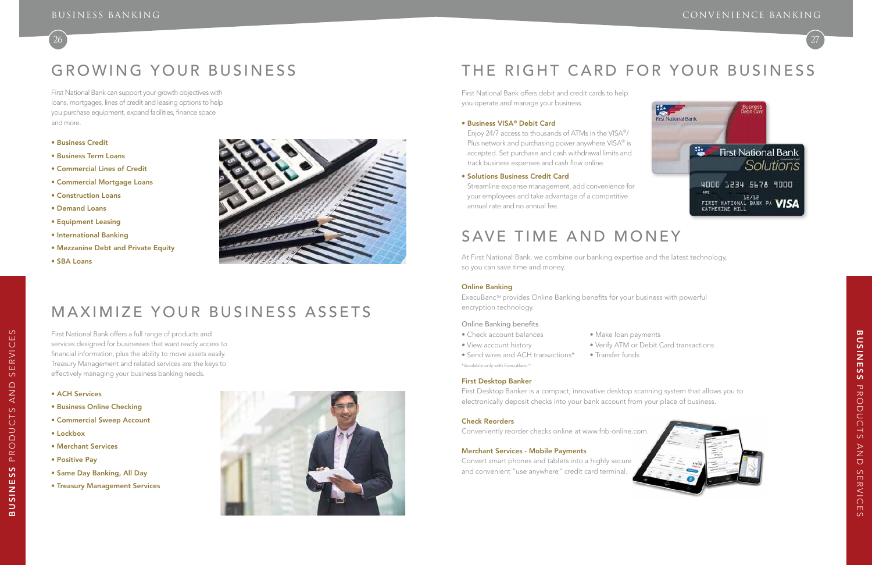# GROWING YOUR BUSINESS

First National Bank can support your growth objectives with loans, mortgages, lines of credit and leasing options to help you purchase equipment, expand facilities, finance space and more.

- Business Credit
- Business Term Loans
- Commercial Lines of Credit
- Commercial Mortgage Loans
- Construction Loans
- Demand Loans
- Equipment Leasing
- International Banking
- Mezzanine Debt and Private Equity
- SBA Loans



27



• View account history • • Verify ATM or Debit Card transactions



 $\supset$  $\cup$ t First National Bank offers debit and credit cards to help you operate and manage your business.

### • Business VISA® Debit Card

ExecuBanc™ provides Online Banking benefits for your business with powerful encryption technology.

Enjoy 24/7 access to thousands of ATMs in the VISA®/ Plus network and purchasing power anywhere VISA® is accepted. Set purchase and cash withdrawal limits and track business expenses and cash flow online.

#### • Solutions Business Credit Card

Streamline expense management, add convenience for your employees and take advantage of a competitive annual rate and no annual fee.

# SAVE TIME AND MONEY

s and se r v ices

 $\circ$  $\triangle$ **NV**  $\infty$ 

ERVICE

 $\infty$ Ш At First National Bank, we combine our banking expertise and the latest technology, so you can save time and money.

### Online Banking

### Online Banking benefits

- Check account balances Make loan payments
- 
- Send wires and ACH transactions\* Transfer funds
- \*Available only with ExecuBanc™
- 

First Desktop Banker

First Desktop Banker is a compact, innovative desktop scanning system that allows you to electronically deposit checks into your bank account from your place of business.

#### Check Reorders

Conveniently reorder checks online at www.fnb-online.com.

### Merchant Services - Mobile Payments

Convert smart phones and tablets into a highly secure and convenient "use anywhere" credit card terminal.



- 
- 
- 

# Maximize Your Business A ssets

First National Bank offers a full range of products and services designed for businesses that want ready access to financial information, plus the ability to move assets easily. Treasury Management and related services are the keys to effectively managing your business banking needs.

- ACH Services
- Business Online Checking
- Commercial Sweep Account
- Lockbox
- Merchant Services
- Positive Pay

**BUSINESS** BUSINESS PRO

 $\cap$ PROI

- Same Day Banking, All Day
- Treasury Management Services



# THE RIGHT CARD FOR YOUR BUSINESS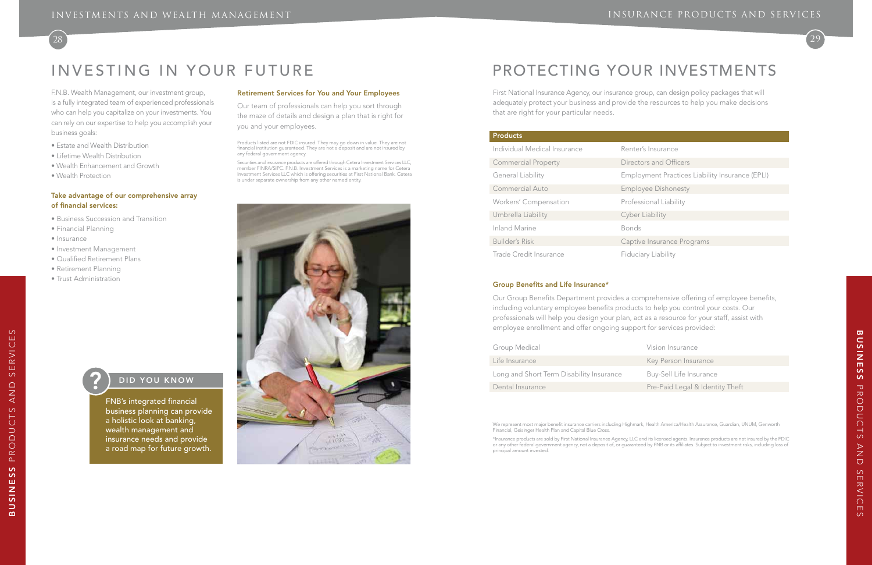

- **Insurance**
- tors and Officers
- byment Practices Liability Insurance (EPLI)
- byee Dishonesty
- ssional Liability
- r Liability

ve Insurance Programs

iary Liability

- Group Medical **Vision Insurance**
- Life Insurance **Key Person Insurance** 
	-
- Dental Insurance **Pre-Paid Legal & Identity Theft**

# Investing in Your Future Protecting Your Investments

F.N.B. Wealth Management, our investment group, is a fully integrated team of experienced professionals who can help you capitalize on your investments. You can rely on our expertise to help you accomplish your business goals:

- Estate and Wealth Distribution
- Lifetime Wealth Distribution
- Wealth Enhancement and Growth
- Wealth Protection

#### Take advantage of our comprehensive array of financial services:

- Business Succession and Transition
- Financial Planning
- Insurance
- Investment Management
- Qualified Retirement Plans
- Retirement Planning
- Trust Administration

#### Retirement Services for You and Your Employees

Our team of professionals can help you sort through the maze of details and design a plan that is right for you and your employees.

Products listed are not FDIC insured. They may go down in value. They are not financial institution guaranteed. They are not a deposit and are not insured by any federal government agency.

Securities and insurance products are offered through Cetera Investment Services LLC, member FINRA/SIPC. F.N.B. Investment Services is a marketing name for Cetera Investment Services LLC which is offering securities at First National Bank. Cetera is under separate ownership from any other named entity.



First National Insurance Agency, our insurance group, can design policy packages that will adequately protect your business and provide the resources to help you make decisions that are right for your particular needs.

### **Products**

| Individual Medical Insurance  | Renter        |
|-------------------------------|---------------|
| <b>Commercial Property</b>    | <b>Direct</b> |
| General Liability             | Emplo         |
| Commercial Auto               | Emplo         |
| Workers' Compensation         | Profes        |
| Umbrella Liability            | Cyber         |
| <b>Inland Marine</b>          | <b>Bonds</b>  |
| <b>Builder's Risk</b>         | Captiv        |
| <b>Trade Credit Insurance</b> | Fiduci        |

#### Group Benefits and Life Insurance\*

Our Group Benefits Department provides a comprehensive offering of employee benefits, including voluntary employee benefits products to help you control your costs. Our professionals will help you design your plan, act as a resource for your staff, assist with employee enrollment and offer ongoing support for services provided:

Long and Short Term Disability Insurance Buy-Sell Life Insurance

We represent most major benefit insurance carriers including Highmark, Health America/Health Assurance, Guardian, UNUM, Genworth Financial, Geisinger Health Plan and Capital Blue Cross.

\*Insurance products are sold by First National Insurance Agency, LLC and its licensed agents. Insurance products are not insured by the FDIC or any other federal government agency, not a deposit of, or guaranteed by FNB or its affiliates. Subject to investment risks, including loss of principal amount invested.

## DID YOU KNOW

FNB's integrated financial business planning can provide a holistic look at banking, wealth management and insurance needs and provide a road map for future growth.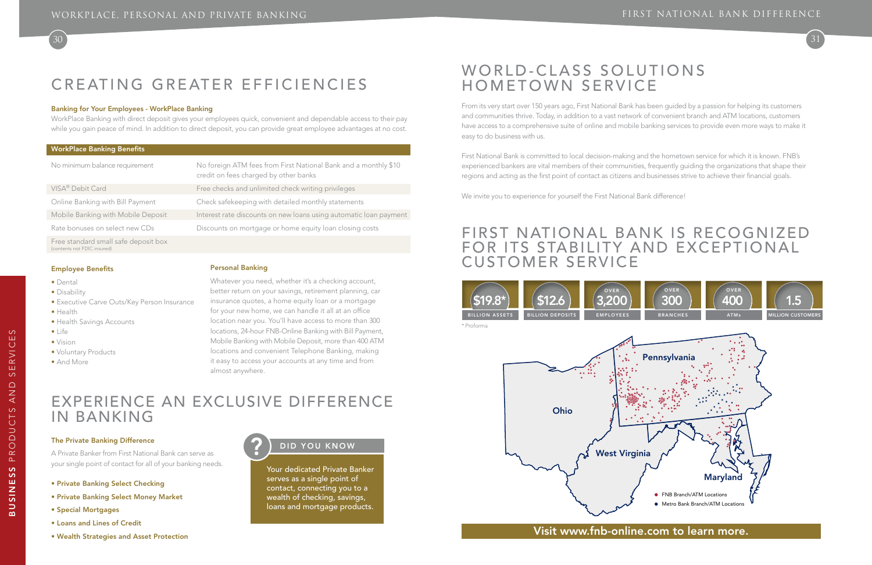# CREATING GREATER EFFICIENCIES

30 31

# Experience an Exclusive Difference in Banking

#### The Private Banking Difference

A Private Banker from First National Bank can serve as your single point of contact for all of your banking needs.

- Private Banking Select Checking
- Private Banking Select Money Market
- Special Mortgages
- Loans and Lines of Credit
- Wealth Strategies and Asset Protection

### DID YOU KNOW

Your dedicated Private Banker serves as a single point of contact, connecting you to a wealth of checking, savings, loans and mortgage products.

#### Employee Benefits

- Dental
- Disability
- Executive Carve Outs/Key Person Insurance
- Health
- Health Savings Accounts
- Life
- Vision
- Voluntary Products
- And More

### Personal Banking

Whatever you need, whether it's a checking account, better return on your savings, retirement planning, car insurance quotes, a home equity loan or a mortgage for your new home, we can handle it all at an office location near you. You'll have access to more than 300 locations, 24-hour FNB-Online Banking with Bill Payment, Mobile Banking with Mobile Deposit, more than 400 ATM locations and convenient Telephone Banking, making it easy to access your accounts at any time and from almost anywhere.

 $\circ$ ш

# WORLD-CLASS SOLUTIONS Hometown service

#### WorkPlace Banking Benefits

| No minimum balance requirement                                      | No foreign ATM fees from First National Bank and a monthly \$10<br>credit on fees charged by other banks |
|---------------------------------------------------------------------|----------------------------------------------------------------------------------------------------------|
| VISA <sup>®</sup> Debit Card                                        | Free checks and unlimited check writing privileges                                                       |
| Online Banking with Bill Payment                                    | Check safekeeping with detailed monthly statements                                                       |
| Mobile Banking with Mobile Deposit                                  | Interest rate discounts on new loans using automatic loan payment                                        |
| Rate bonuses on select new CDs                                      | Discounts on mortgage or home equity loan closing costs                                                  |
| Free standard small safe deposit box<br>(contents not FDIC insured) |                                                                                                          |

#### Banking for Your Employees - WorkPlace Banking

WorkPlace Banking with direct deposit gives your employees quick, convenient and dependable access to their pay while you gain peace of mind. In addition to direct deposit, you can provide great employee advantages at no cost.

From its very start over 150 years ago, First National Bank has been guided by a passion for helping its customers and communities thrive. Today, in addition to a vast network of convenient branch and ATM locations, customers have access to a comprehensive suite of online and mobile banking services to provide even more ways to make it easy to do business with us.

First National Bank is committed to local decision-making and the hometown service for which it is known. FNB's experienced bankers are vital members of their communities, frequently guiding the organizations that shape their regions and acting as the first point of contact as citizens and businesses strive to achieve their financial goals.

We invite you to experience for yourself the First National Bank difference!

## Visit www.fnb-online.com to learn more.

# First National Bank is recognized for its stability and exceptional customer service